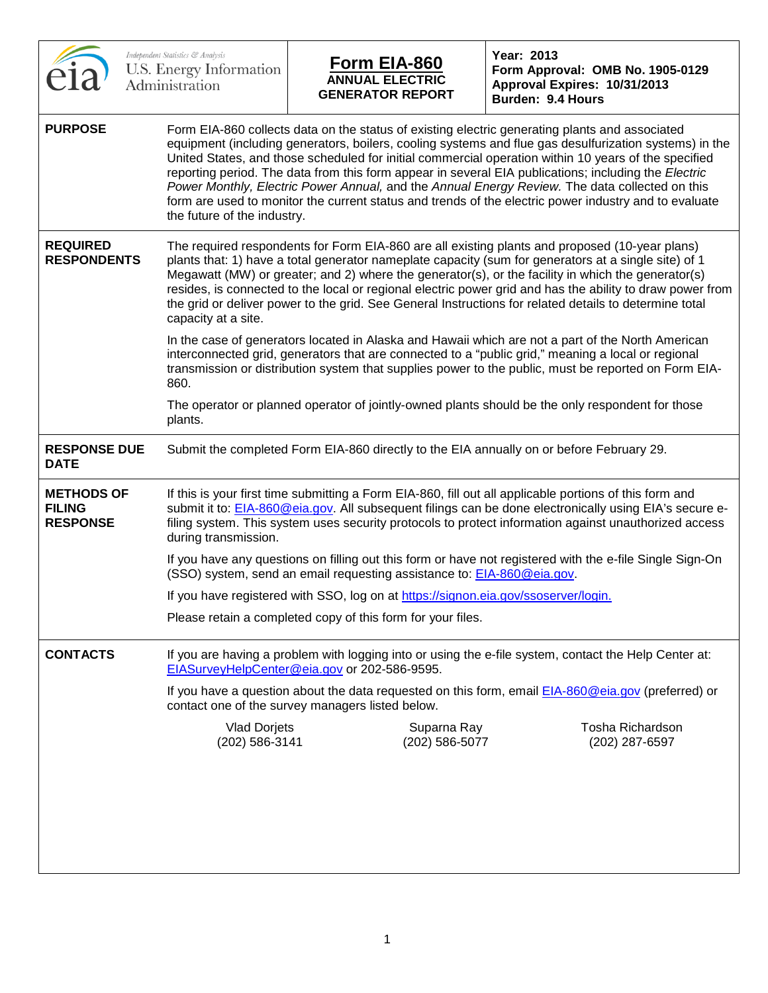|                                                       | Independent Statistics & Analysis<br>U.S. Energy Information<br>Administration | <u>Form EIA-860</u><br><b>ANNUAL ELECTRIC</b><br><b>GENERATOR REPORT</b>                 | Year: 2013<br>Form Approval: OMB No. 1905-0129<br>Approval Expires: 10/31/2013<br>Burden: 9.4 Hours                                                                                                                                                                                                                                                                                                                                                                                                                                                                                                                                 |
|-------------------------------------------------------|--------------------------------------------------------------------------------|------------------------------------------------------------------------------------------|-------------------------------------------------------------------------------------------------------------------------------------------------------------------------------------------------------------------------------------------------------------------------------------------------------------------------------------------------------------------------------------------------------------------------------------------------------------------------------------------------------------------------------------------------------------------------------------------------------------------------------------|
| <b>PURPOSE</b>                                        | the future of the industry.                                                    |                                                                                          | Form EIA-860 collects data on the status of existing electric generating plants and associated<br>equipment (including generators, boilers, cooling systems and flue gas desulfurization systems) in the<br>United States, and those scheduled for initial commercial operation within 10 years of the specified<br>reporting period. The data from this form appear in several EIA publications; including the Electric<br>Power Monthly, Electric Power Annual, and the Annual Energy Review. The data collected on this<br>form are used to monitor the current status and trends of the electric power industry and to evaluate |
| <b>REQUIRED</b><br><b>RESPONDENTS</b>                 | capacity at a site.                                                            |                                                                                          | The required respondents for Form EIA-860 are all existing plants and proposed (10-year plans)<br>plants that: 1) have a total generator nameplate capacity (sum for generators at a single site) of 1<br>Megawatt (MW) or greater; and 2) where the generator(s), or the facility in which the generator(s)<br>resides, is connected to the local or regional electric power grid and has the ability to draw power from<br>the grid or deliver power to the grid. See General Instructions for related details to determine total                                                                                                 |
|                                                       | 860.                                                                           |                                                                                          | In the case of generators located in Alaska and Hawaii which are not a part of the North American<br>interconnected grid, generators that are connected to a "public grid," meaning a local or regional<br>transmission or distribution system that supplies power to the public, must be reported on Form EIA-                                                                                                                                                                                                                                                                                                                     |
|                                                       | plants.                                                                        |                                                                                          | The operator or planned operator of jointly-owned plants should be the only respondent for those                                                                                                                                                                                                                                                                                                                                                                                                                                                                                                                                    |
| <b>RESPONSE DUE</b><br><b>DATE</b>                    |                                                                                | Submit the completed Form EIA-860 directly to the EIA annually on or before February 29. |                                                                                                                                                                                                                                                                                                                                                                                                                                                                                                                                                                                                                                     |
| <b>METHODS OF</b><br><b>FILING</b><br><b>RESPONSE</b> | during transmission.                                                           |                                                                                          | If this is your first time submitting a Form EIA-860, fill out all applicable portions of this form and<br>submit it to: EIA-860@eia.gov. All subsequent filings can be done electronically using EIA's secure e-<br>filing system. This system uses security protocols to protect information against unauthorized access                                                                                                                                                                                                                                                                                                          |
|                                                       |                                                                                | (SSO) system, send an email requesting assistance to: EIA-860@eia.gov.                   | If you have any questions on filling out this form or have not registered with the e-file Single Sign-On                                                                                                                                                                                                                                                                                                                                                                                                                                                                                                                            |
|                                                       |                                                                                | If you have registered with SSO, log on at https://signon.eia.gov/ssoserver/login.       |                                                                                                                                                                                                                                                                                                                                                                                                                                                                                                                                                                                                                                     |
|                                                       |                                                                                | Please retain a completed copy of this form for your files.                              |                                                                                                                                                                                                                                                                                                                                                                                                                                                                                                                                                                                                                                     |
| <b>CONTACTS</b>                                       |                                                                                | EIASurveyHelpCenter@eia.gov or 202-586-9595.                                             | If you are having a problem with logging into or using the e-file system, contact the Help Center at:                                                                                                                                                                                                                                                                                                                                                                                                                                                                                                                               |
|                                                       |                                                                                | contact one of the survey managers listed below.                                         | If you have a question about the data requested on this form, email EIA-860@eia.gov (preferred) or                                                                                                                                                                                                                                                                                                                                                                                                                                                                                                                                  |
|                                                       | <b>Vlad Dorjets</b><br>(202) 586-3141                                          | Suparna Ray<br>(202) 586-5077                                                            | Tosha Richardson<br>(202) 287-6597                                                                                                                                                                                                                                                                                                                                                                                                                                                                                                                                                                                                  |
|                                                       |                                                                                |                                                                                          |                                                                                                                                                                                                                                                                                                                                                                                                                                                                                                                                                                                                                                     |
|                                                       |                                                                                |                                                                                          |                                                                                                                                                                                                                                                                                                                                                                                                                                                                                                                                                                                                                                     |
|                                                       |                                                                                |                                                                                          |                                                                                                                                                                                                                                                                                                                                                                                                                                                                                                                                                                                                                                     |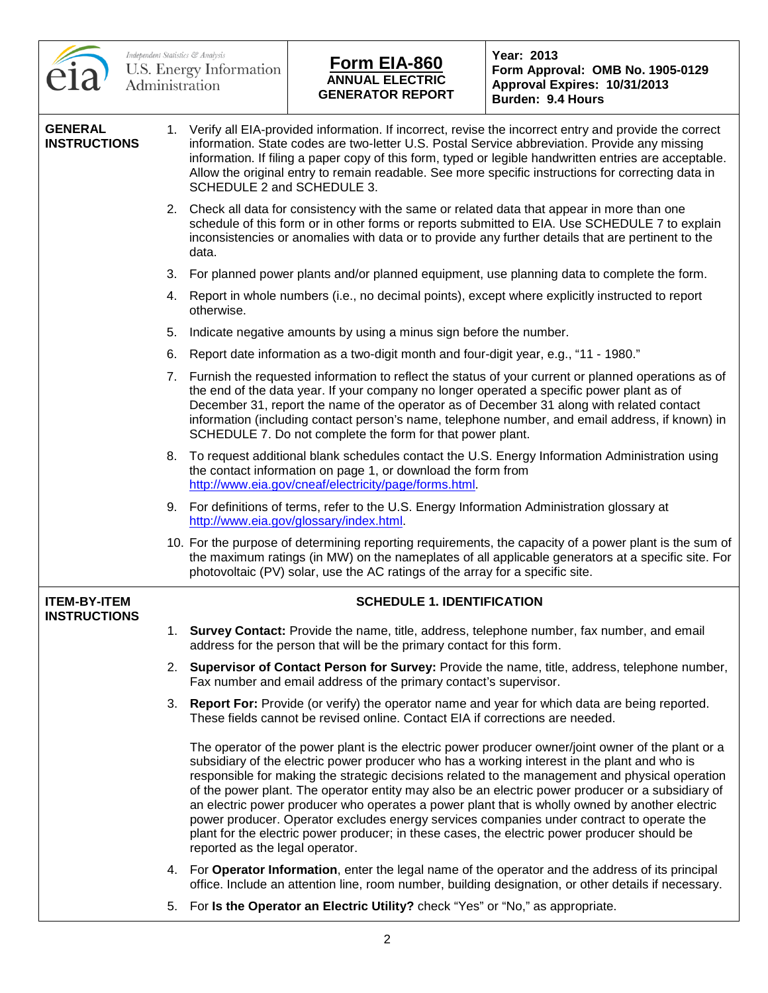|                                            |    | Independent Statistics & Analysis<br>U.S. Energy Information<br>Administration | <u>Form EIA-860</u><br><b>ANNUAL ELECTRIC</b><br><b>GENERATOR REPORT</b>                                                                                | Year: 2013<br>Form Approval: OMB No. 1905-0129<br>Approval Expires: 10/31/2013<br><b>Burden: 9.4 Hours</b>                                                                                                                                                                                                                                                                                                                                                                                                                                                                                                                                                                                                |
|--------------------------------------------|----|--------------------------------------------------------------------------------|---------------------------------------------------------------------------------------------------------------------------------------------------------|-----------------------------------------------------------------------------------------------------------------------------------------------------------------------------------------------------------------------------------------------------------------------------------------------------------------------------------------------------------------------------------------------------------------------------------------------------------------------------------------------------------------------------------------------------------------------------------------------------------------------------------------------------------------------------------------------------------|
| <b>GENERAL</b><br><b>INSTRUCTIONS</b>      |    | SCHEDULE 2 and SCHEDULE 3.                                                     |                                                                                                                                                         | 1. Verify all EIA-provided information. If incorrect, revise the incorrect entry and provide the correct<br>information. State codes are two-letter U.S. Postal Service abbreviation. Provide any missing<br>information. If filing a paper copy of this form, typed or legible handwritten entries are acceptable.<br>Allow the original entry to remain readable. See more specific instructions for correcting data in                                                                                                                                                                                                                                                                                 |
|                                            |    | data.                                                                          |                                                                                                                                                         | 2. Check all data for consistency with the same or related data that appear in more than one<br>schedule of this form or in other forms or reports submitted to EIA. Use SCHEDULE 7 to explain<br>inconsistencies or anomalies with data or to provide any further details that are pertinent to the                                                                                                                                                                                                                                                                                                                                                                                                      |
|                                            | 3. |                                                                                |                                                                                                                                                         | For planned power plants and/or planned equipment, use planning data to complete the form.                                                                                                                                                                                                                                                                                                                                                                                                                                                                                                                                                                                                                |
|                                            |    | otherwise.                                                                     |                                                                                                                                                         | 4. Report in whole numbers (i.e., no decimal points), except where explicitly instructed to report                                                                                                                                                                                                                                                                                                                                                                                                                                                                                                                                                                                                        |
|                                            | 5. |                                                                                | Indicate negative amounts by using a minus sign before the number.                                                                                      |                                                                                                                                                                                                                                                                                                                                                                                                                                                                                                                                                                                                                                                                                                           |
|                                            | 6. |                                                                                | Report date information as a two-digit month and four-digit year, e.g., "11 - 1980."                                                                    |                                                                                                                                                                                                                                                                                                                                                                                                                                                                                                                                                                                                                                                                                                           |
|                                            | 7. |                                                                                | the end of the data year. If your company no longer operated a specific power plant as of<br>SCHEDULE 7. Do not complete the form for that power plant. | Furnish the requested information to reflect the status of your current or planned operations as of<br>December 31, report the name of the operator as of December 31 along with related contact<br>information (including contact person's name, telephone number, and email address, if known) in                                                                                                                                                                                                                                                                                                                                                                                                       |
|                                            |    |                                                                                | the contact information on page 1, or download the form from<br>http://www.eia.gov/cneaf/electricity/page/forms.html.                                   | 8. To request additional blank schedules contact the U.S. Energy Information Administration using                                                                                                                                                                                                                                                                                                                                                                                                                                                                                                                                                                                                         |
|                                            |    |                                                                                | 9. For definitions of terms, refer to the U.S. Energy Information Administration glossary at<br>http://www.eia.gov/glossary/index.html.                 |                                                                                                                                                                                                                                                                                                                                                                                                                                                                                                                                                                                                                                                                                                           |
|                                            |    |                                                                                | photovoltaic (PV) solar, use the AC ratings of the array for a specific site.                                                                           | 10. For the purpose of determining reporting requirements, the capacity of a power plant is the sum of<br>the maximum ratings (in MW) on the nameplates of all applicable generators at a specific site. For                                                                                                                                                                                                                                                                                                                                                                                                                                                                                              |
| <b>ITEM-BY-ITEM</b><br><b>INSTRUCTIONS</b> |    |                                                                                | <b>SCHEDULE 1. IDENTIFICATION</b>                                                                                                                       |                                                                                                                                                                                                                                                                                                                                                                                                                                                                                                                                                                                                                                                                                                           |
|                                            |    |                                                                                | address for the person that will be the primary contact for this form.                                                                                  | 1. Survey Contact: Provide the name, title, address, telephone number, fax number, and email                                                                                                                                                                                                                                                                                                                                                                                                                                                                                                                                                                                                              |
|                                            |    |                                                                                | Fax number and email address of the primary contact's supervisor.                                                                                       | 2. Supervisor of Contact Person for Survey: Provide the name, title, address, telephone number,                                                                                                                                                                                                                                                                                                                                                                                                                                                                                                                                                                                                           |
|                                            |    |                                                                                | These fields cannot be revised online. Contact EIA if corrections are needed.                                                                           | 3. Report For: Provide (or verify) the operator name and year for which data are being reported.                                                                                                                                                                                                                                                                                                                                                                                                                                                                                                                                                                                                          |
|                                            |    | reported as the legal operator.                                                |                                                                                                                                                         | The operator of the power plant is the electric power producer owner/joint owner of the plant or a<br>subsidiary of the electric power producer who has a working interest in the plant and who is<br>responsible for making the strategic decisions related to the management and physical operation<br>of the power plant. The operator entity may also be an electric power producer or a subsidiary of<br>an electric power producer who operates a power plant that is wholly owned by another electric<br>power producer. Operator excludes energy services companies under contract to operate the<br>plant for the electric power producer; in these cases, the electric power producer should be |
|                                            |    |                                                                                |                                                                                                                                                         | 4. For Operator Information, enter the legal name of the operator and the address of its principal<br>office. Include an attention line, room number, building designation, or other details if necessary.                                                                                                                                                                                                                                                                                                                                                                                                                                                                                                |

 $\Gamma$ 

5. For **Is the Operator an Electric Utility?** check "Yes" or "No," as appropriate.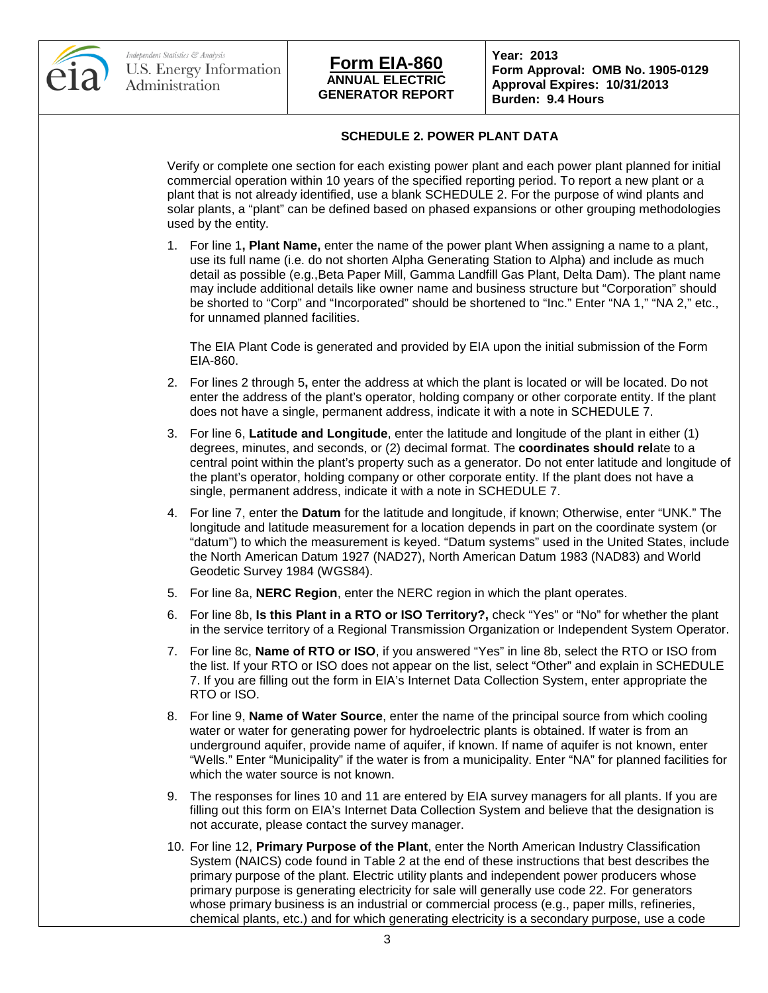



**Form Approval: OMB No. 1905-0129 Approval Expires: 10/31/2013 Burden: 9.4 Hours**

### **SCHEDULE 2. POWER PLANT DATA**

Verify or complete one section for each existing power plant and each power plant planned for initial commercial operation within 10 years of the specified reporting period. To report a new plant or a plant that is not already identified, use a blank SCHEDULE 2. For the purpose of wind plants and solar plants, a "plant" can be defined based on phased expansions or other grouping methodologies used by the entity.

1. For line 1**, Plant Name,** enter the name of the power plant When assigning a name to a plant, use its full name (i.e. do not shorten Alpha Generating Station to Alpha) and include as much detail as possible (e.g.,Beta Paper Mill, Gamma Landfill Gas Plant, Delta Dam). The plant name may include additional details like owner name and business structure but "Corporation" should be shorted to "Corp" and "Incorporated" should be shortened to "Inc." Enter "NA 1," "NA 2," etc., for unnamed planned facilities.

The EIA Plant Code is generated and provided by EIA upon the initial submission of the Form EIA-860.

- 2. For lines 2 through 5**,** enter the address at which the plant is located or will be located. Do not enter the address of the plant's operator, holding company or other corporate entity. If the plant does not have a single, permanent address, indicate it with a note in SCHEDULE 7.
- 3. For line 6, **Latitude and Longitude**, enter the latitude and longitude of the plant in either (1) degrees, minutes, and seconds, or (2) decimal format. The **coordinates should rel**ate to a central point within the plant's property such as a generator. Do not enter latitude and longitude of the plant's operator, holding company or other corporate entity. If the plant does not have a single, permanent address, indicate it with a note in SCHEDULE 7.
- 4. For line 7, enter the **Datum** for the latitude and longitude, if known; Otherwise, enter "UNK." The longitude and latitude measurement for a location depends in part on the coordinate system (or "datum") to which the measurement is keyed. "Datum systems" used in the United States, include the North American Datum 1927 (NAD27), North American Datum 1983 (NAD83) and World Geodetic Survey 1984 (WGS84).
- 5. For line 8a, **NERC Region**, enter the NERC region in which the plant operates.
- 6. For line 8b, **Is this Plant in a RTO or ISO Territory?,** check "Yes" or "No" for whether the plant in the service territory of a Regional Transmission Organization or Independent System Operator.
- 7. For line 8c, **Name of RTO or ISO**, if you answered "Yes" in line 8b, select the RTO or ISO from the list. If your RTO or ISO does not appear on the list, select "Other" and explain in SCHEDULE 7. If you are filling out the form in EIA's Internet Data Collection System, enter appropriate the RTO or ISO.
- 8. For line 9, **Name of Water Source**, enter the name of the principal source from which cooling water or water for generating power for hydroelectric plants is obtained. If water is from an underground aquifer, provide name of aquifer, if known. If name of aquifer is not known, enter "Wells." Enter "Municipality" if the water is from a municipality. Enter "NA" for planned facilities for which the water source is not known.
- 9. The responses for lines 10 and 11 are entered by EIA survey managers for all plants. If you are filling out this form on EIA's Internet Data Collection System and believe that the designation is not accurate, please contact the survey manager.
- 10. For line 12, **Primary Purpose of the Plant**, enter the North American Industry Classification System (NAICS) code found in Table 2 at the end of these instructions that best describes the primary purpose of the plant. Electric utility plants and independent power producers whose primary purpose is generating electricity for sale will generally use code 22. For generators whose primary business is an industrial or commercial process (e.g., paper mills, refineries, chemical plants, etc.) and for which generating electricity is a secondary purpose, use a code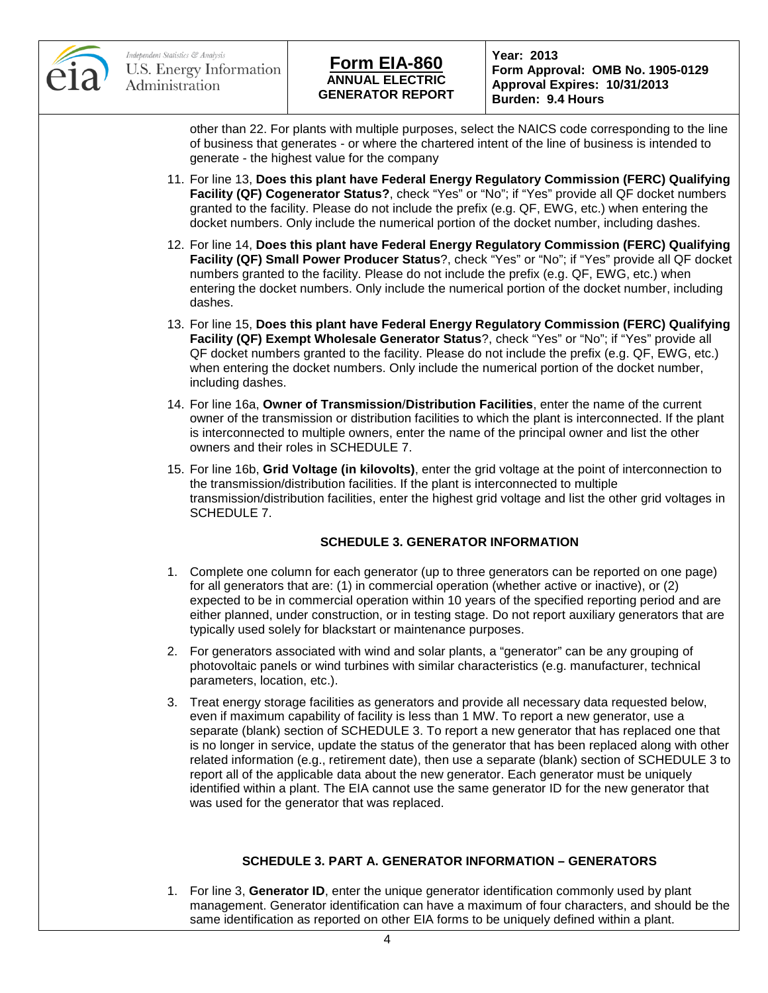

**Form Approval: OMB No. 1905-0129 Approval Expires: 10/31/2013 Burden: 9.4 Hours**

other than 22. For plants with multiple purposes, select the NAICS code corresponding to the line of business that generates - or where the chartered intent of the line of business is intended to generate - the highest value for the company

- 11. For line 13, **Does this plant have Federal Energy Regulatory Commission (FERC) Qualifying Facility (QF) Cogenerator Status?**, check "Yes" or "No"; if "Yes" provide all QF docket numbers granted to the facility. Please do not include the prefix (e.g. QF, EWG, etc.) when entering the docket numbers. Only include the numerical portion of the docket number, including dashes.
- 12. For line 14, **Does this plant have Federal Energy Regulatory Commission (FERC) Qualifying Facility (QF) Small Power Producer Status**?, check "Yes" or "No"; if "Yes" provide all QF docket numbers granted to the facility. Please do not include the prefix (e.g. QF, EWG, etc.) when entering the docket numbers. Only include the numerical portion of the docket number, including dashes.
- 13. For line 15, **Does this plant have Federal Energy Regulatory Commission (FERC) Qualifying Facility (QF) Exempt Wholesale Generator Status**?, check "Yes" or "No"; if "Yes" provide all QF docket numbers granted to the facility. Please do not include the prefix (e.g. QF, EWG, etc.) when entering the docket numbers. Only include the numerical portion of the docket number, including dashes.
- 14. For line 16a, **Owner of Transmission**/**Distribution Facilities**, enter the name of the current owner of the transmission or distribution facilities to which the plant is interconnected. If the plant is interconnected to multiple owners, enter the name of the principal owner and list the other owners and their roles in SCHEDULE 7.
- 15. For line 16b, **Grid Voltage (in kilovolts)**, enter the grid voltage at the point of interconnection to the transmission/distribution facilities. If the plant is interconnected to multiple transmission/distribution facilities, enter the highest grid voltage and list the other grid voltages in SCHEDULE 7.

### **SCHEDULE 3. GENERATOR INFORMATION**

- 1. Complete one column for each generator (up to three generators can be reported on one page) for all generators that are: (1) in commercial operation (whether active or inactive), or (2) expected to be in commercial operation within 10 years of the specified reporting period and are either planned, under construction, or in testing stage. Do not report auxiliary generators that are typically used solely for blackstart or maintenance purposes.
- 2. For generators associated with wind and solar plants, a "generator" can be any grouping of photovoltaic panels or wind turbines with similar characteristics (e.g. manufacturer, technical parameters, location, etc.).
- 3. Treat energy storage facilities as generators and provide all necessary data requested below, even if maximum capability of facility is less than 1 MW. To report a new generator, use a separate (blank) section of SCHEDULE 3. To report a new generator that has replaced one that is no longer in service, update the status of the generator that has been replaced along with other related information (e.g., retirement date), then use a separate (blank) section of SCHEDULE 3 to report all of the applicable data about the new generator. Each generator must be uniquely identified within a plant. The EIA cannot use the same generator ID for the new generator that was used for the generator that was replaced.

### **SCHEDULE 3. PART A. GENERATOR INFORMATION – GENERATORS**

1. For line 3, **Generator ID**, enter the unique generator identification commonly used by plant management. Generator identification can have a maximum of four characters, and should be the same identification as reported on other EIA forms to be uniquely defined within a plant.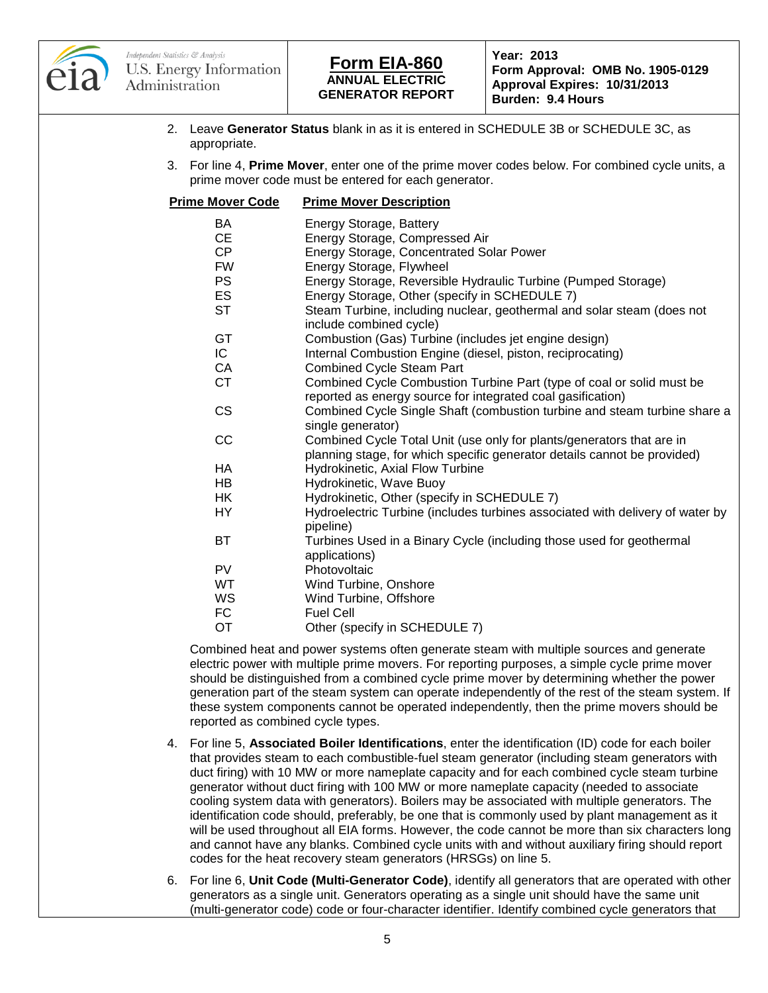

# **ANNUAL ELECTRIC GENERATOR REPORT Form EIA-860 Year: 2013**

**Form Approval: OMB No. 1905-0129 Approval Expires: 10/31/2013 Burden: 9.4 Hours**

- 2. Leave **Generator Status** blank in as it is entered in SCHEDULE 3B or SCHEDULE 3C, as appropriate.
- 3. For line 4, **Prime Mover**, enter one of the prime mover codes below. For combined cycle units, a prime mover code must be entered for each generator.

| <b>Prime Mover Code</b> | <b>Prime Mover Description</b>                                                                                                       |
|-------------------------|--------------------------------------------------------------------------------------------------------------------------------------|
| BA                      | Energy Storage, Battery                                                                                                              |
| <b>CE</b>               | Energy Storage, Compressed Air                                                                                                       |
| CP                      | Energy Storage, Concentrated Solar Power                                                                                             |
| <b>FW</b>               | Energy Storage, Flywheel                                                                                                             |
| <b>PS</b>               | Energy Storage, Reversible Hydraulic Turbine (Pumped Storage)                                                                        |
| <b>ES</b>               | Energy Storage, Other (specify in SCHEDULE 7)                                                                                        |
| <b>ST</b>               | Steam Turbine, including nuclear, geothermal and solar steam (does not<br>include combined cycle)                                    |
| GT                      | Combustion (Gas) Turbine (includes jet engine design)                                                                                |
| IC.                     | Internal Combustion Engine (diesel, piston, reciprocating)                                                                           |
| CA                      | <b>Combined Cycle Steam Part</b>                                                                                                     |
| <b>CT</b>               | Combined Cycle Combustion Turbine Part (type of coal or solid must be<br>reported as energy source for integrated coal gasification) |
| <b>CS</b>               | Combined Cycle Single Shaft (combustion turbine and steam turbine share a                                                            |
|                         | single generator)                                                                                                                    |
| CC                      | Combined Cycle Total Unit (use only for plants/generators that are in                                                                |
|                         | planning stage, for which specific generator details cannot be provided)                                                             |
| HA                      | Hydrokinetic, Axial Flow Turbine                                                                                                     |
| HB                      | Hydrokinetic, Wave Buoy                                                                                                              |
| HК                      | Hydrokinetic, Other (specify in SCHEDULE 7)                                                                                          |
| HY                      | Hydroelectric Turbine (includes turbines associated with delivery of water by<br>pipeline)                                           |
| <b>BT</b>               | Turbines Used in a Binary Cycle (including those used for geothermal<br>applications)                                                |
| <b>PV</b>               | Photovoltaic                                                                                                                         |
| <b>WT</b>               | Wind Turbine, Onshore                                                                                                                |
| WS                      | Wind Turbine, Offshore                                                                                                               |
| FC                      | <b>Fuel Cell</b>                                                                                                                     |
| <b>OT</b>               | Other (specify in SCHEDULE 7)                                                                                                        |
|                         | Combined heat and power systems often generate steam with multiple sources and generate                                              |

electric power with multiple prime movers. For reporting purposes, a simple cycle prime mover should be distinguished from a combined cycle prime mover by determining whether the power generation part of the steam system can operate independently of the rest of the steam system. If these system components cannot be operated independently, then the prime movers should be reported as combined cycle types.

- 4. For line 5, **Associated Boiler Identifications**, enter the identification (ID) code for each boiler that provides steam to each combustible-fuel steam generator (including steam generators with duct firing) with 10 MW or more nameplate capacity and for each combined cycle steam turbine generator without duct firing with 100 MW or more nameplate capacity (needed to associate cooling system data with generators). Boilers may be associated with multiple generators. The identification code should, preferably, be one that is commonly used by plant management as it will be used throughout all EIA forms. However, the code cannot be more than six characters long and cannot have any blanks. Combined cycle units with and without auxiliary firing should report codes for the heat recovery steam generators (HRSGs) on line 5.
- 6. For line 6, **Unit Code (Multi-Generator Code)**, identify all generators that are operated with other generators as a single unit. Generators operating as a single unit should have the same unit (multi-generator code) code or four-character identifier. Identify combined cycle generators that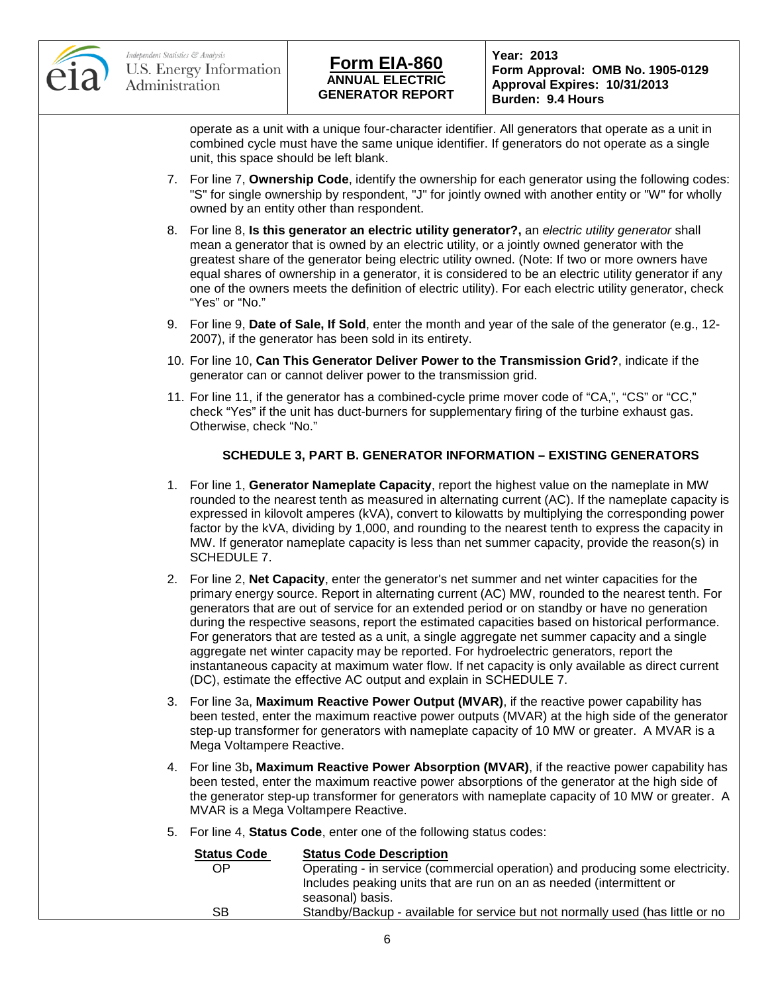

# **ANNUAL ELECTRIC GENERATOR REPORT Form EIA-860 Year: 2013**

**Form Approval: OMB No. 1905-0129 Approval Expires: 10/31/2013 Burden: 9.4 Hours**

operate as a unit with a unique four-character identifier. All generators that operate as a unit in combined cycle must have the same unique identifier. If generators do not operate as a single unit, this space should be left blank.

- 7. For line 7, **Ownership Code**, identify the ownership for each generator using the following codes: "S" for single ownership by respondent, "J" for jointly owned with another entity or "W" for wholly owned by an entity other than respondent.
- 8. For line 8, **Is this generator an electric utility generator?,** an *electric utility generator* shall mean a generator that is owned by an electric utility, or a jointly owned generator with the greatest share of the generator being electric utility owned. (Note: If two or more owners have equal shares of ownership in a generator, it is considered to be an electric utility generator if any one of the owners meets the definition of electric utility). For each electric utility generator, check "Yes" or "No."
- 9. For line 9, **Date of Sale, If Sold**, enter the month and year of the sale of the generator (e.g., 12- 2007), if the generator has been sold in its entirety.
- 10. For line 10, **Can This Generator Deliver Power to the Transmission Grid?**, indicate if the generator can or cannot deliver power to the transmission grid.
- 11. For line 11, if the generator has a combined-cycle prime mover code of "CA,", "CS" or "CC," check "Yes" if the unit has duct-burners for supplementary firing of the turbine exhaust gas. Otherwise, check "No."

### **SCHEDULE 3, PART B. GENERATOR INFORMATION – EXISTING GENERATORS**

- 1. For line 1, **Generator Nameplate Capacity**, report the highest value on the nameplate in MW rounded to the nearest tenth as measured in alternating current (AC). If the nameplate capacity is expressed in kilovolt amperes (kVA), convert to kilowatts by multiplying the corresponding power factor by the kVA, dividing by 1,000, and rounding to the nearest tenth to express the capacity in MW. If generator nameplate capacity is less than net summer capacity, provide the reason(s) in SCHEDULE 7.
- 2. For line 2, **Net Capacity**, enter the generator's net summer and net winter capacities for the primary energy source. Report in alternating current (AC) MW, rounded to the nearest tenth. For generators that are out of service for an extended period or on standby or have no generation during the respective seasons, report the estimated capacities based on historical performance. For generators that are tested as a unit, a single aggregate net summer capacity and a single aggregate net winter capacity may be reported. For hydroelectric generators, report the instantaneous capacity at maximum water flow. If net capacity is only available as direct current (DC), estimate the effective AC output and explain in SCHEDULE 7.
- 3. For line 3a, **Maximum Reactive Power Output (MVAR)**, if the reactive power capability has been tested, enter the maximum reactive power outputs (MVAR) at the high side of the generator step-up transformer for generators with nameplate capacity of 10 MW or greater. A MVAR is a Mega Voltampere Reactive.
- 4. For line 3b**, Maximum Reactive Power Absorption (MVAR)**, if the reactive power capability has been tested, enter the maximum reactive power absorptions of the generator at the high side of the generator step-up transformer for generators with nameplate capacity of 10 MW or greater. A MVAR is a Mega Voltampere Reactive.
- 5. For line 4, **Status Code**, enter one of the following status codes:

| <b>Status Code</b> | <b>Status Code Description</b>                                                 |
|--------------------|--------------------------------------------------------------------------------|
| OΡ                 | Operating - in service (commercial operation) and producing some electricity.  |
|                    | Includes peaking units that are run on an as needed (intermittent or           |
|                    | seasonal) basis.                                                               |
| SВ                 | Standby/Backup - available for service but not normally used (has little or no |
|                    |                                                                                |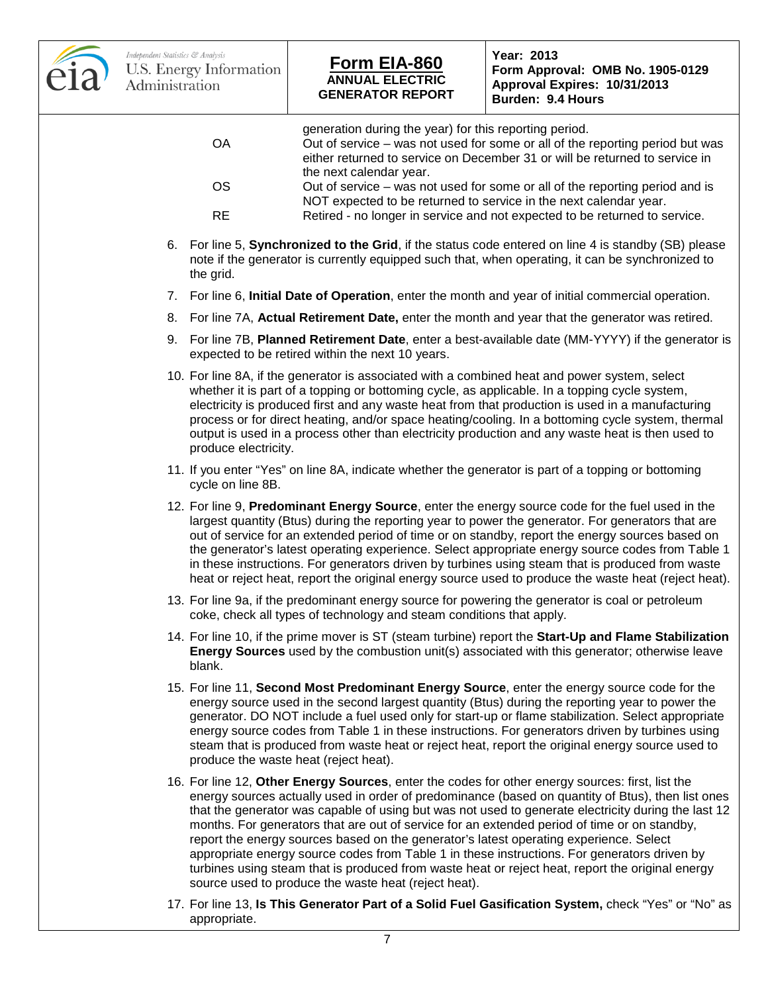

# **ANNUAL ELECTRIC GENERATOR REPORT Form EIA-860 Year: 2013**

**Form Approval: OMB No. 1905-0129 Approval Expires: 10/31/2013 Burden: 9.4 Hours**

- generation during the year) for this reporting period. OA Out of service – was not used for some or all of the reporting period but was either returned to service on December 31 or will be returned to service in the next calendar year. OS Out of service – was not used for some or all of the reporting period and is NOT expected to be returned to service in the next calendar year. RE Retired - no longer in service and not expected to be returned to service. 6. For line 5, **Synchronized to the Grid**, if the status code entered on line 4 is standby (SB) please note if the generator is currently equipped such that, when operating, it can be synchronized to the grid. 7. For line 6, **Initial Date of Operation**, enter the month and year of initial commercial operation. 8. For line 7A, **Actual Retirement Date,** enter the month and year that the generator was retired. 9. For line 7B, **Planned Retirement Date**, enter a best-available date (MM-YYYY) if the generator is expected to be retired within the next 10 years. 10. For line 8A, if the generator is associated with a combined heat and power system, select whether it is part of a topping or bottoming cycle, as applicable. In a topping cycle system, electricity is produced first and any waste heat from that production is used in a manufacturing process or for direct heating, and/or space heating/cooling. In a bottoming cycle system, thermal output is used in a process other than electricity production and any waste heat is then used to produce electricity. 11. If you enter "Yes" on line 8A, indicate whether the generator is part of a topping or bottoming cycle on line 8B. 12. For line 9, **Predominant Energy Source**, enter the energy source code for the fuel used in the largest quantity (Btus) during the reporting year to power the generator. For generators that are out of service for an extended period of time or on standby, report the energy sources based on the generator's latest operating experience. Select appropriate energy source codes from Table 1 in these instructions. For generators driven by turbines using steam that is produced from waste heat or reject heat, report the original energy source used to produce the waste heat (reject heat). 13. For line 9a, if the predominant energy source for powering the generator is coal or petroleum coke, check all types of technology and steam conditions that apply. 14. For line 10, if the prime mover is ST (steam turbine) report the **Start-Up and Flame Stabilization Energy Sources** used by the combustion unit(s) associated with this generator; otherwise leave blank. 15. For line 11, **Second Most Predominant Energy Source**, enter the energy source code for the energy source used in the second largest quantity (Btus) during the reporting year to power the generator. DO NOT include a fuel used only for start-up or flame stabilization. Select appropriate energy source codes from Table 1 in these instructions. For generators driven by turbines using steam that is produced from waste heat or reject heat, report the original energy source used to produce the waste heat (reject heat). 16. For line 12, **Other Energy Sources**, enter the codes for other energy sources: first, list the energy sources actually used in order of predominance (based on quantity of Btus), then list ones that the generator was capable of using but was not used to generate electricity during the last 12 months. For generators that are out of service for an extended period of time or on standby, report the energy sources based on the generator's latest operating experience. Select appropriate energy source codes from Table 1 in these instructions. For generators driven by turbines using steam that is produced from waste heat or reject heat, report the original energy source used to produce the waste heat (reject heat).
	- 17. For line 13, **Is This Generator Part of a Solid Fuel Gasification System,** check "Yes" or "No" as appropriate.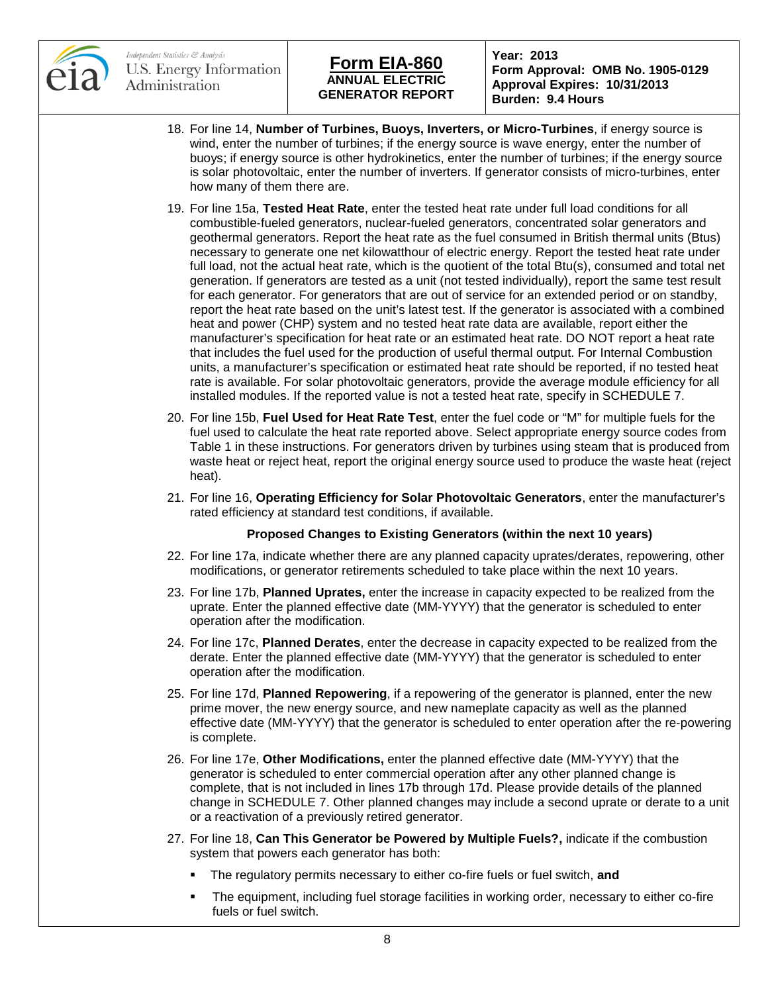

# **ANNUAL ELECTRIC GENERATOR REPORT Form EIA-860 Year: 2013**

**Form Approval: OMB No. 1905-0129 Approval Expires: 10/31/2013 Burden: 9.4 Hours**

- 18. For line 14, **Number of Turbines, Buoys, Inverters, or Micro-Turbines**, if energy source is wind, enter the number of turbines; if the energy source is wave energy, enter the number of buoys; if energy source is other hydrokinetics, enter the number of turbines; if the energy source is solar photovoltaic, enter the number of inverters. If generator consists of micro-turbines, enter how many of them there are.
- 19. For line 15a, **Tested Heat Rate**, enter the tested heat rate under full load conditions for all combustible-fueled generators, nuclear-fueled generators, concentrated solar generators and geothermal generators. Report the heat rate as the fuel consumed in British thermal units (Btus) necessary to generate one net kilowatthour of electric energy. Report the tested heat rate under full load, not the actual heat rate, which is the quotient of the total Btu(s), consumed and total net generation. If generators are tested as a unit (not tested individually), report the same test result for each generator. For generators that are out of service for an extended period or on standby, report the heat rate based on the unit's latest test. If the generator is associated with a combined heat and power (CHP) system and no tested heat rate data are available, report either the manufacturer's specification for heat rate or an estimated heat rate. DO NOT report a heat rate that includes the fuel used for the production of useful thermal output. For Internal Combustion units, a manufacturer's specification or estimated heat rate should be reported, if no tested heat rate is available. For solar photovoltaic generators, provide the average module efficiency for all installed modules. If the reported value is not a tested heat rate, specify in SCHEDULE 7.
- 20. For line 15b, **Fuel Used for Heat Rate Test**, enter the fuel code or "M" for multiple fuels for the fuel used to calculate the heat rate reported above. Select appropriate energy source codes from Table 1 in these instructions. For generators driven by turbines using steam that is produced from waste heat or reject heat, report the original energy source used to produce the waste heat (reject heat).
- 21. For line 16, **Operating Efficiency for Solar Photovoltaic Generators**, enter the manufacturer's rated efficiency at standard test conditions, if available.

#### **Proposed Changes to Existing Generators (within the next 10 years)**

- 22. For line 17a, indicate whether there are any planned capacity uprates/derates, repowering, other modifications, or generator retirements scheduled to take place within the next 10 years.
- 23. For line 17b, **Planned Uprates,** enter the increase in capacity expected to be realized from the uprate. Enter the planned effective date (MM-YYYY) that the generator is scheduled to enter operation after the modification.
- 24. For line 17c, **Planned Derates**, enter the decrease in capacity expected to be realized from the derate. Enter the planned effective date (MM-YYYY) that the generator is scheduled to enter operation after the modification.
- 25. For line 17d, **Planned Repowering**, if a repowering of the generator is planned, enter the new prime mover, the new energy source, and new nameplate capacity as well as the planned effective date (MM-YYYY) that the generator is scheduled to enter operation after the re-powering is complete.
- 26. For line 17e, **Other Modifications,** enter the planned effective date (MM-YYYY) that the generator is scheduled to enter commercial operation after any other planned change is complete, that is not included in lines 17b through 17d. Please provide details of the planned change in SCHEDULE 7. Other planned changes may include a second uprate or derate to a unit or a reactivation of a previously retired generator.
- 27. For line 18, **Can This Generator be Powered by Multiple Fuels?,** indicate if the combustion system that powers each generator has both:
	- The regulatory permits necessary to either co-fire fuels or fuel switch, **and**
	- The equipment, including fuel storage facilities in working order, necessary to either co-fire fuels or fuel switch.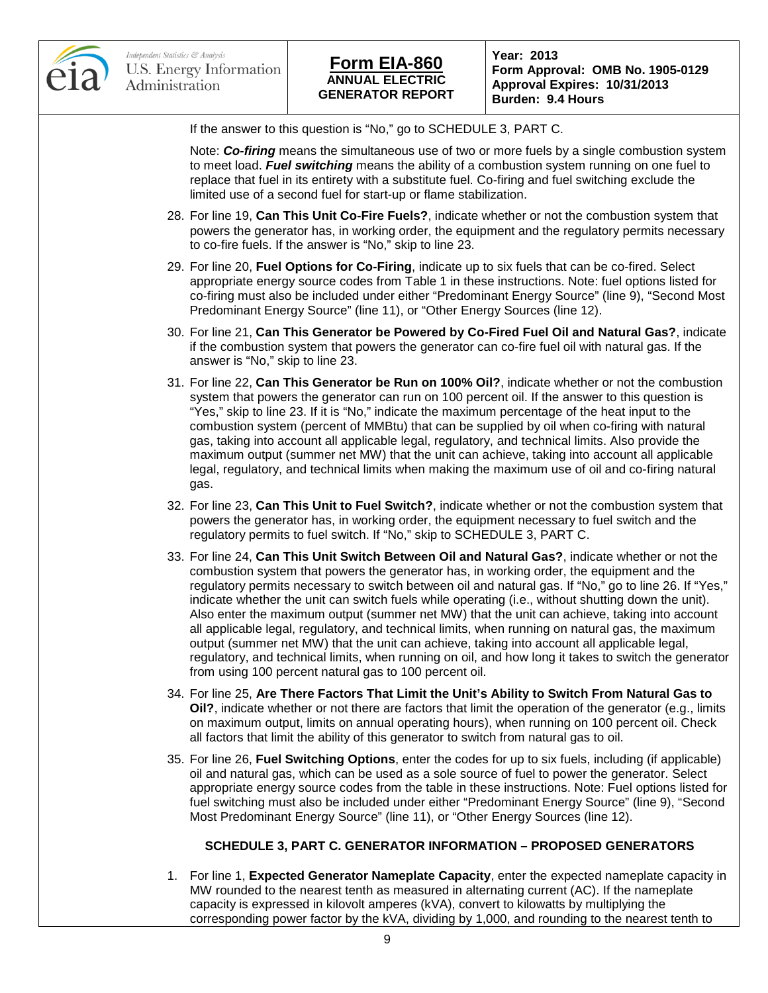

**Form Approval: OMB No. 1905-0129 Approval Expires: 10/31/2013 Burden: 9.4 Hours**

If the answer to this question is "No," go to SCHEDULE 3, PART C.

Note: *Co-firing* means the simultaneous use of two or more fuels by a single combustion system to meet load. *Fuel switching* means the ability of a combustion system running on one fuel to replace that fuel in its entirety with a substitute fuel. Co-firing and fuel switching exclude the limited use of a second fuel for start-up or flame stabilization.

- 28. For line 19, **Can This Unit Co-Fire Fuels?**, indicate whether or not the combustion system that powers the generator has, in working order, the equipment and the regulatory permits necessary to co-fire fuels. If the answer is "No," skip to line 23.
- 29. For line 20, **Fuel Options for Co-Firing**, indicate up to six fuels that can be co-fired. Select appropriate energy source codes from Table 1 in these instructions. Note: fuel options listed for co-firing must also be included under either "Predominant Energy Source" (line 9), "Second Most Predominant Energy Source" (line 11), or "Other Energy Sources (line 12).
- 30. For line 21, **Can This Generator be Powered by Co-Fired Fuel Oil and Natural Gas?**, indicate if the combustion system that powers the generator can co-fire fuel oil with natural gas. If the answer is "No," skip to line 23.
- 31. For line 22, **Can This Generator be Run on 100% Oil?**, indicate whether or not the combustion system that powers the generator can run on 100 percent oil. If the answer to this question is "Yes," skip to line 23. If it is "No," indicate the maximum percentage of the heat input to the combustion system (percent of MMBtu) that can be supplied by oil when co-firing with natural gas, taking into account all applicable legal, regulatory, and technical limits. Also provide the maximum output (summer net MW) that the unit can achieve, taking into account all applicable legal, regulatory, and technical limits when making the maximum use of oil and co-firing natural gas.
- 32. For line 23, **Can This Unit to Fuel Switch?**, indicate whether or not the combustion system that powers the generator has, in working order, the equipment necessary to fuel switch and the regulatory permits to fuel switch. If "No," skip to SCHEDULE 3, PART C.
- 33. For line 24, **Can This Unit Switch Between Oil and Natural Gas?**, indicate whether or not the combustion system that powers the generator has, in working order, the equipment and the regulatory permits necessary to switch between oil and natural gas. If "No," go to line 26. If "Yes," indicate whether the unit can switch fuels while operating (i.e., without shutting down the unit). Also enter the maximum output (summer net MW) that the unit can achieve, taking into account all applicable legal, regulatory, and technical limits, when running on natural gas, the maximum output (summer net MW) that the unit can achieve, taking into account all applicable legal, regulatory, and technical limits, when running on oil, and how long it takes to switch the generator from using 100 percent natural gas to 100 percent oil.
- 34. For line 25, **Are There Factors That Limit the Unit's Ability to Switch From Natural Gas to Oil?**, indicate whether or not there are factors that limit the operation of the generator (e.g., limits on maximum output, limits on annual operating hours), when running on 100 percent oil. Check all factors that limit the ability of this generator to switch from natural gas to oil.
- 35. For line 26, **Fuel Switching Options**, enter the codes for up to six fuels, including (if applicable) oil and natural gas, which can be used as a sole source of fuel to power the generator. Select appropriate energy source codes from the table in these instructions. Note: Fuel options listed for fuel switching must also be included under either "Predominant Energy Source" (line 9), "Second Most Predominant Energy Source" (line 11), or "Other Energy Sources (line 12).

#### **SCHEDULE 3, PART C. GENERATOR INFORMATION – PROPOSED GENERATORS**

1. For line 1, **Expected Generator Nameplate Capacity**, enter the expected nameplate capacity in MW rounded to the nearest tenth as measured in alternating current (AC). If the nameplate capacity is expressed in kilovolt amperes (kVA), convert to kilowatts by multiplying the corresponding power factor by the kVA, dividing by 1,000, and rounding to the nearest tenth to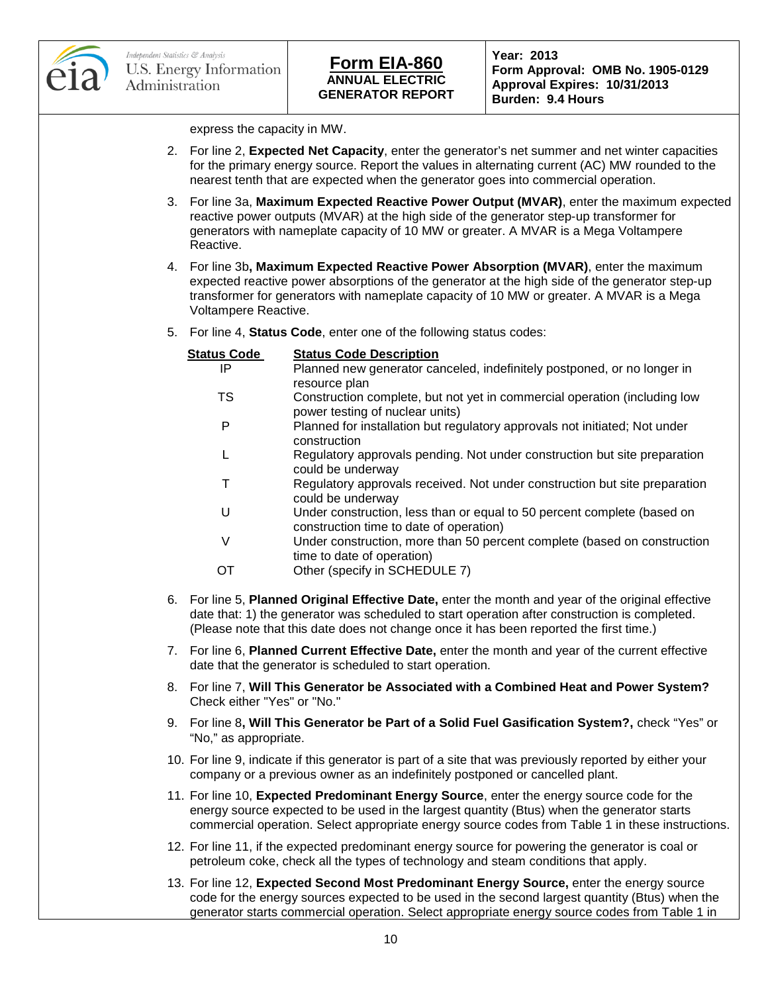

express the capacity in MW.

- 2. For line 2, **Expected Net Capacity**, enter the generator's net summer and net winter capacities for the primary energy source. Report the values in alternating current (AC) MW rounded to the nearest tenth that are expected when the generator goes into commercial operation.
- 3. For line 3a, **Maximum Expected Reactive Power Output (MVAR)**, enter the maximum expected reactive power outputs (MVAR) at the high side of the generator step-up transformer for generators with nameplate capacity of 10 MW or greater. A MVAR is a Mega Voltampere Reactive.
- 4. For line 3b**, Maximum Expected Reactive Power Absorption (MVAR)**, enter the maximum expected reactive power absorptions of the generator at the high side of the generator step-up transformer for generators with nameplate capacity of 10 MW or greater. A MVAR is a Mega Voltampere Reactive.
- 5. For line 4, **Status Code**, enter one of the following status codes:

| <b>Status Code</b> | <b>Status Code Description</b>                                                                                                                                                                                                                                                                |
|--------------------|-----------------------------------------------------------------------------------------------------------------------------------------------------------------------------------------------------------------------------------------------------------------------------------------------|
| IP                 | Planned new generator canceled, indefinitely postponed, or no longer in                                                                                                                                                                                                                       |
|                    | resource plan                                                                                                                                                                                                                                                                                 |
| <b>TS</b>          | Construction complete, but not yet in commercial operation (including low<br>power testing of nuclear units)                                                                                                                                                                                  |
| P                  | Planned for installation but regulatory approvals not initiated; Not under<br>construction                                                                                                                                                                                                    |
| L                  | Regulatory approvals pending. Not under construction but site preparation<br>could be underway                                                                                                                                                                                                |
| Т                  | Regulatory approvals received. Not under construction but site preparation<br>could be underway                                                                                                                                                                                               |
| U                  | Under construction, less than or equal to 50 percent complete (based on<br>construction time to date of operation)                                                                                                                                                                            |
| V                  | Under construction, more than 50 percent complete (based on construction<br>time to date of operation)                                                                                                                                                                                        |
| ОT                 | Other (specify in SCHEDULE 7)                                                                                                                                                                                                                                                                 |
|                    | 6. For line 5, Planned Original Effective Date, enter the month and year of the original effective<br>date that: 1) the generator was scheduled to start operation after construction is completed.<br>(Please note that this date does not change once it has been reported the first time.) |

- 7. For line 6, **Planned Current Effective Date,** enter the month and year of the current effective date that the generator is scheduled to start operation.
- 8. For line 7, **Will This Generator be Associated with a Combined Heat and Power System?**  Check either "Yes" or "No."
- 9. For line 8**, Will This Generator be Part of a Solid Fuel Gasification System?,** check "Yes" or "No," as appropriate.
- 10. For line 9, indicate if this generator is part of a site that was previously reported by either your company or a previous owner as an indefinitely postponed or cancelled plant.
- 11. For line 10, **Expected Predominant Energy Source**, enter the energy source code for the energy source expected to be used in the largest quantity (Btus) when the generator starts commercial operation. Select appropriate energy source codes from Table 1 in these instructions.
- 12. For line 11, if the expected predominant energy source for powering the generator is coal or petroleum coke, check all the types of technology and steam conditions that apply.
- 13. For line 12, **Expected Second Most Predominant Energy Source,** enter the energy source code for the energy sources expected to be used in the second largest quantity (Btus) when the generator starts commercial operation. Select appropriate energy source codes from Table 1 in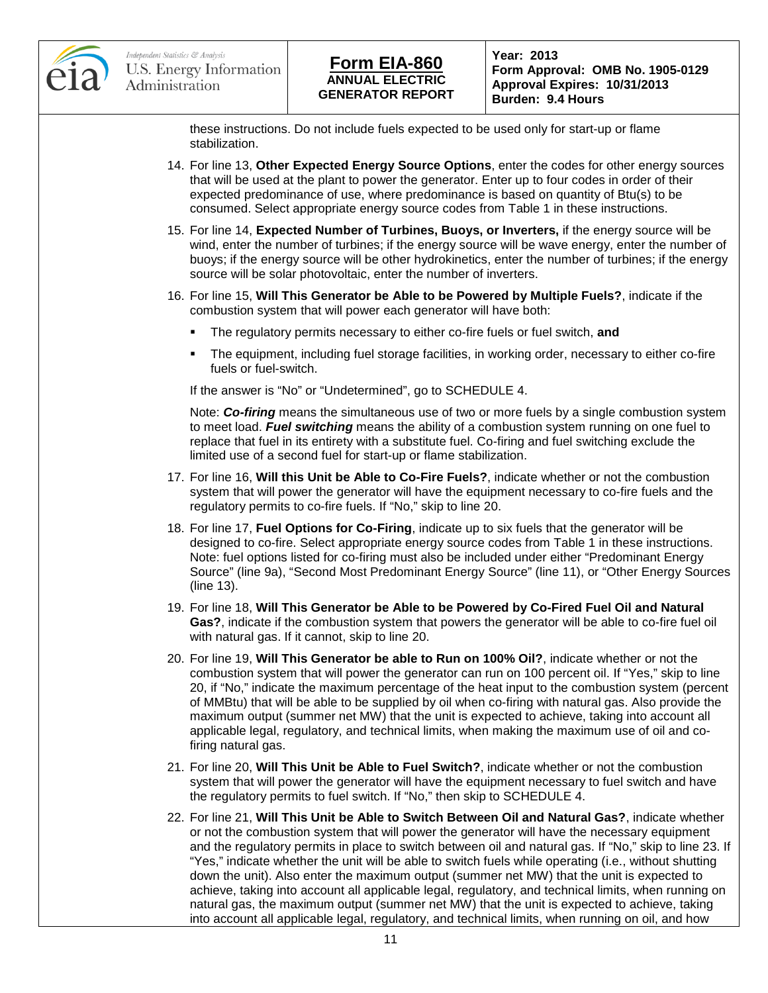

**Form Approval: OMB No. 1905-0129 Approval Expires: 10/31/2013 Burden: 9.4 Hours**

these instructions. Do not include fuels expected to be used only for start-up or flame stabilization.

- 14. For line 13, **Other Expected Energy Source Options**, enter the codes for other energy sources that will be used at the plant to power the generator. Enter up to four codes in order of their expected predominance of use, where predominance is based on quantity of Btu(s) to be consumed. Select appropriate energy source codes from Table 1 in these instructions.
- 15. For line 14, **Expected Number of Turbines, Buoys, or Inverters,** if the energy source will be wind, enter the number of turbines; if the energy source will be wave energy, enter the number of buoys; if the energy source will be other hydrokinetics, enter the number of turbines; if the energy source will be solar photovoltaic, enter the number of inverters.
- 16. For line 15, **Will This Generator be Able to be Powered by Multiple Fuels?**, indicate if the combustion system that will power each generator will have both:
	- The regulatory permits necessary to either co-fire fuels or fuel switch, **and**
	- The equipment, including fuel storage facilities, in working order, necessary to either co-fire fuels or fuel-switch.

If the answer is "No" or "Undetermined", go to SCHEDULE 4.

Note: *Co-firing* means the simultaneous use of two or more fuels by a single combustion system to meet load. *Fuel switching* means the ability of a combustion system running on one fuel to replace that fuel in its entirety with a substitute fuel. Co-firing and fuel switching exclude the limited use of a second fuel for start-up or flame stabilization.

- 17. For line 16, **Will this Unit be Able to Co-Fire Fuels?**, indicate whether or not the combustion system that will power the generator will have the equipment necessary to co-fire fuels and the regulatory permits to co-fire fuels. If "No," skip to line 20.
- 18. For line 17, **Fuel Options for Co-Firing**, indicate up to six fuels that the generator will be designed to co-fire. Select appropriate energy source codes from Table 1 in these instructions. Note: fuel options listed for co-firing must also be included under either "Predominant Energy Source" (line 9a), "Second Most Predominant Energy Source" (line 11), or "Other Energy Sources (line 13).
- 19. For line 18, **Will This Generator be Able to be Powered by Co-Fired Fuel Oil and Natural Gas?**, indicate if the combustion system that powers the generator will be able to co-fire fuel oil with natural gas. If it cannot, skip to line 20.
- 20. For line 19, **Will This Generator be able to Run on 100% Oil?**, indicate whether or not the combustion system that will power the generator can run on 100 percent oil. If "Yes," skip to line 20, if "No," indicate the maximum percentage of the heat input to the combustion system (percent of MMBtu) that will be able to be supplied by oil when co-firing with natural gas. Also provide the maximum output (summer net MW) that the unit is expected to achieve, taking into account all applicable legal, regulatory, and technical limits, when making the maximum use of oil and cofiring natural gas.
- 21. For line 20, **Will This Unit be Able to Fuel Switch?**, indicate whether or not the combustion system that will power the generator will have the equipment necessary to fuel switch and have the regulatory permits to fuel switch. If "No," then skip to SCHEDULE 4.
- 22. For line 21, **Will This Unit be Able to Switch Between Oil and Natural Gas?**, indicate whether or not the combustion system that will power the generator will have the necessary equipment and the regulatory permits in place to switch between oil and natural gas. If "No," skip to line 23. If "Yes," indicate whether the unit will be able to switch fuels while operating (i.e., without shutting down the unit). Also enter the maximum output (summer net MW) that the unit is expected to achieve, taking into account all applicable legal, regulatory, and technical limits, when running on natural gas, the maximum output (summer net MW) that the unit is expected to achieve, taking into account all applicable legal, regulatory, and technical limits, when running on oil, and how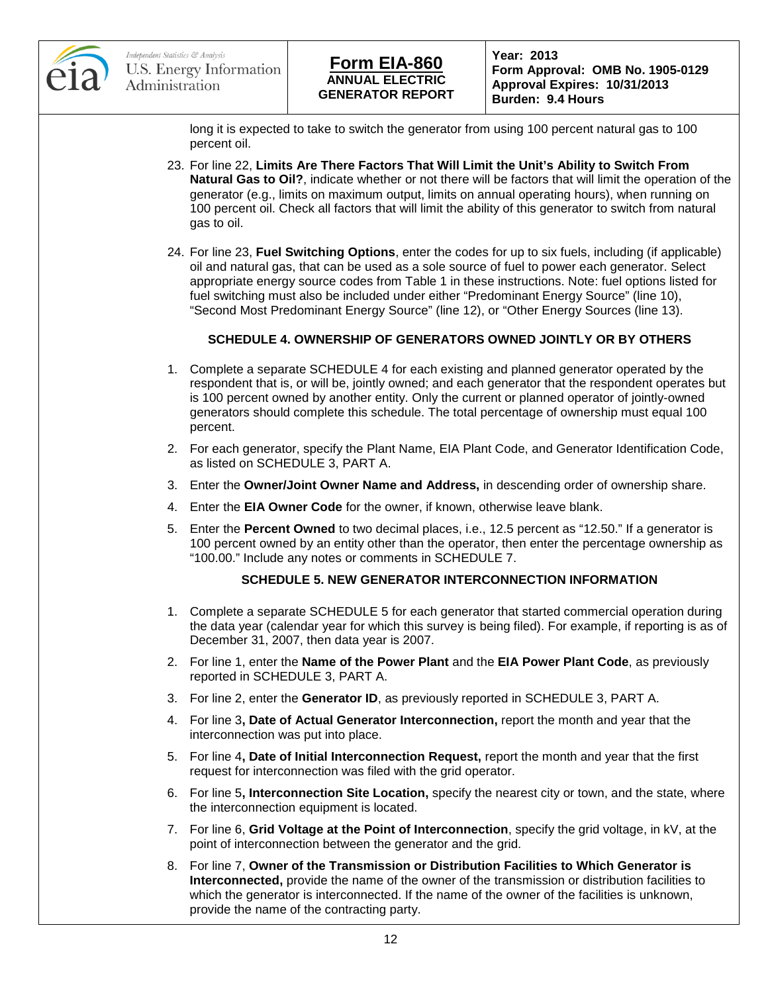

# **ANNUAL ELECTRIC GENERATOR REPORT Form EIA-860 Year: 2013**

**Form Approval: OMB No. 1905-0129 Approval Expires: 10/31/2013 Burden: 9.4 Hours**

long it is expected to take to switch the generator from using 100 percent natural gas to 100 percent oil.

- 23. For line 22, **Limits Are There Factors That Will Limit the Unit's Ability to Switch From Natural Gas to Oil?**, indicate whether or not there will be factors that will limit the operation of the generator (e.g., limits on maximum output, limits on annual operating hours), when running on 100 percent oil. Check all factors that will limit the ability of this generator to switch from natural gas to oil.
- 24. For line 23, **Fuel Switching Options**, enter the codes for up to six fuels, including (if applicable) oil and natural gas, that can be used as a sole source of fuel to power each generator. Select appropriate energy source codes from Table 1 in these instructions. Note: fuel options listed for fuel switching must also be included under either "Predominant Energy Source" (line 10), "Second Most Predominant Energy Source" (line 12), or "Other Energy Sources (line 13).

### **SCHEDULE 4. OWNERSHIP OF GENERATORS OWNED JOINTLY OR BY OTHERS**

- 1. Complete a separate SCHEDULE 4 for each existing and planned generator operated by the respondent that is, or will be, jointly owned; and each generator that the respondent operates but is 100 percent owned by another entity. Only the current or planned operator of jointly-owned generators should complete this schedule. The total percentage of ownership must equal 100 percent.
- 2. For each generator, specify the Plant Name, EIA Plant Code, and Generator Identification Code, as listed on SCHEDULE 3, PART A.
- 3. Enter the **Owner/Joint Owner Name and Address,** in descending order of ownership share.
- 4. Enter the **EIA Owner Code** for the owner, if known, otherwise leave blank.
- 5. Enter the **Percent Owned** to two decimal places, i.e., 12.5 percent as "12.50." If a generator is 100 percent owned by an entity other than the operator, then enter the percentage ownership as "100.00." Include any notes or comments in SCHEDULE 7.

### **SCHEDULE 5. NEW GENERATOR INTERCONNECTION INFORMATION**

- 1. Complete a separate SCHEDULE 5 for each generator that started commercial operation during the data year (calendar year for which this survey is being filed). For example, if reporting is as of December 31, 2007, then data year is 2007.
- 2. For line 1, enter the **Name of the Power Plant** and the **EIA Power Plant Code**, as previously reported in SCHEDULE 3, PART A.
- 3. For line 2, enter the **Generator ID**, as previously reported in SCHEDULE 3, PART A.
- 4. For line 3**, Date of Actual Generator Interconnection,** report the month and year that the interconnection was put into place.
- 5. For line 4**, Date of Initial Interconnection Request,** report the month and year that the first request for interconnection was filed with the grid operator.
- 6. For line 5**, Interconnection Site Location,** specify the nearest city or town, and the state, where the interconnection equipment is located.
- 7. For line 6, **Grid Voltage at the Point of Interconnection**, specify the grid voltage, in kV, at the point of interconnection between the generator and the grid.
- 8. For line 7, **Owner of the Transmission or Distribution Facilities to Which Generator is Interconnected,** provide the name of the owner of the transmission or distribution facilities to which the generator is interconnected. If the name of the owner of the facilities is unknown, provide the name of the contracting party.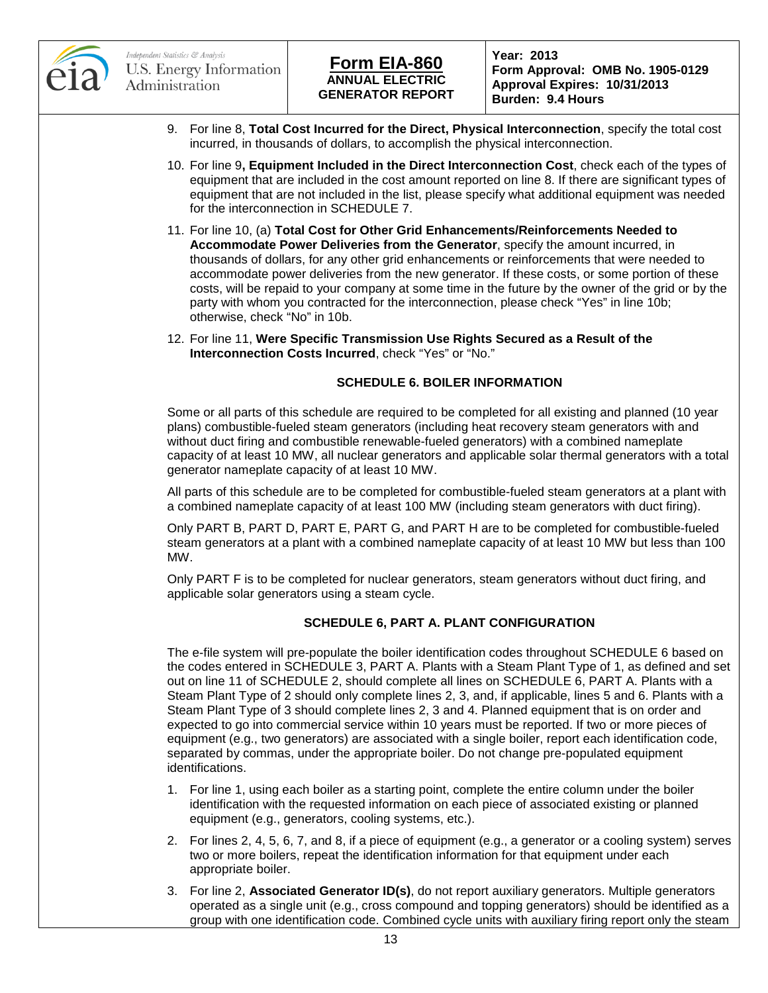



**Form Approval: OMB No. 1905-0129 Approval Expires: 10/31/2013 Burden: 9.4 Hours**

- 9. For line 8, **Total Cost Incurred for the Direct, Physical Interconnection**, specify the total cost incurred, in thousands of dollars, to accomplish the physical interconnection.
- 10. For line 9**, Equipment Included in the Direct Interconnection Cost**, check each of the types of equipment that are included in the cost amount reported on line 8. If there are significant types of equipment that are not included in the list, please specify what additional equipment was needed for the interconnection in SCHEDULE 7.
- 11. For line 10, (a) **Total Cost for Other Grid Enhancements/Reinforcements Needed to Accommodate Power Deliveries from the Generator**, specify the amount incurred, in thousands of dollars, for any other grid enhancements or reinforcements that were needed to accommodate power deliveries from the new generator. If these costs, or some portion of these costs, will be repaid to your company at some time in the future by the owner of the grid or by the party with whom you contracted for the interconnection, please check "Yes" in line 10b; otherwise, check "No" in 10b.
- 12. For line 11, **Were Specific Transmission Use Rights Secured as a Result of the Interconnection Costs Incurred**, check "Yes" or "No."

### **SCHEDULE 6. BOILER INFORMATION**

Some or all parts of this schedule are required to be completed for all existing and planned (10 year plans) combustible-fueled steam generators (including heat recovery steam generators with and without duct firing and combustible renewable-fueled generators) with a combined nameplate capacity of at least 10 MW, all nuclear generators and applicable solar thermal generators with a total generator nameplate capacity of at least 10 MW.

All parts of this schedule are to be completed for combustible-fueled steam generators at a plant with a combined nameplate capacity of at least 100 MW (including steam generators with duct firing).

Only PART B, PART D, PART E, PART G, and PART H are to be completed for combustible-fueled steam generators at a plant with a combined nameplate capacity of at least 10 MW but less than 100 MW.

Only PART F is to be completed for nuclear generators, steam generators without duct firing, and applicable solar generators using a steam cycle.

#### **SCHEDULE 6, PART A. PLANT CONFIGURATION**

The e-file system will pre-populate the boiler identification codes throughout SCHEDULE 6 based on the codes entered in SCHEDULE 3, PART A. Plants with a Steam Plant Type of 1, as defined and set out on line 11 of SCHEDULE 2, should complete all lines on SCHEDULE 6, PART A. Plants with a Steam Plant Type of 2 should only complete lines 2, 3, and, if applicable, lines 5 and 6. Plants with a Steam Plant Type of 3 should complete lines 2, 3 and 4. Planned equipment that is on order and expected to go into commercial service within 10 years must be reported. If two or more pieces of equipment (e.g., two generators) are associated with a single boiler, report each identification code, separated by commas, under the appropriate boiler. Do not change pre-populated equipment identifications.

- 1. For line 1, using each boiler as a starting point, complete the entire column under the boiler identification with the requested information on each piece of associated existing or planned equipment (e.g., generators, cooling systems, etc.).
- 2. For lines 2, 4, 5, 6, 7, and 8, if a piece of equipment (e.g., a generator or a cooling system) serves two or more boilers, repeat the identification information for that equipment under each appropriate boiler.
- 3. For line 2, **Associated Generator ID(s)**, do not report auxiliary generators. Multiple generators operated as a single unit (e.g., cross compound and topping generators) should be identified as a group with one identification code. Combined cycle units with auxiliary firing report only the steam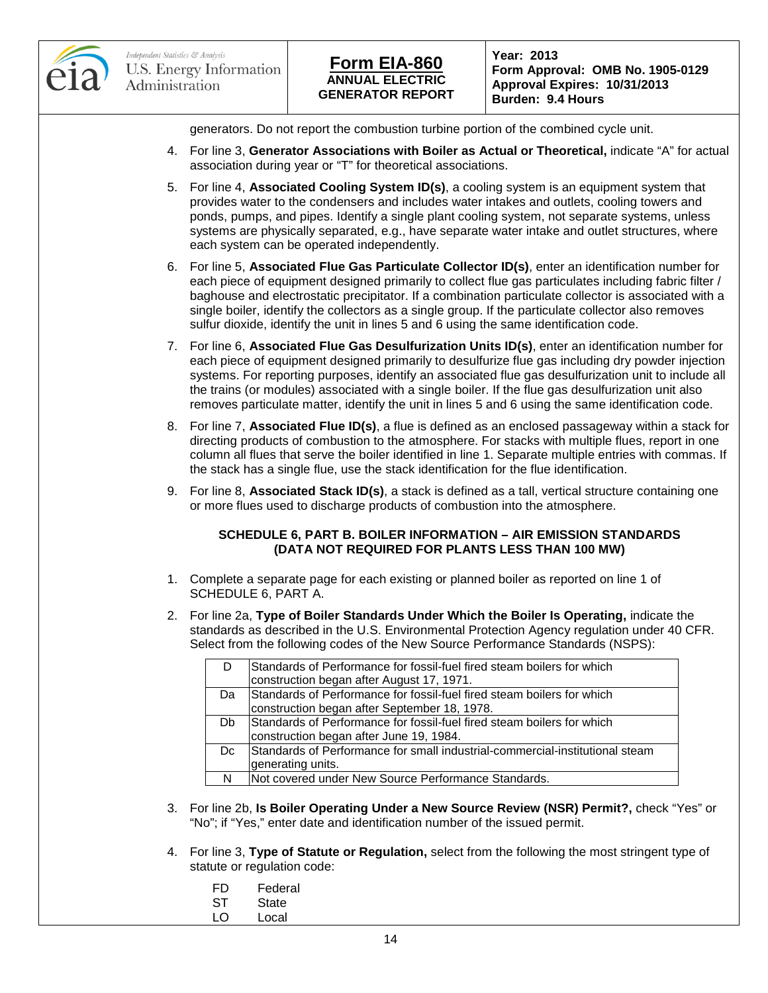



**Form Approval: OMB No. 1905-0129 Approval Expires: 10/31/2013 Burden: 9.4 Hours**

generators. Do not report the combustion turbine portion of the combined cycle unit.

- 4. For line 3, **Generator Associations with Boiler as Actual or Theoretical,** indicate "A" for actual association during year or "T" for theoretical associations.
- 5. For line 4, **Associated Cooling System ID(s)**, a cooling system is an equipment system that provides water to the condensers and includes water intakes and outlets, cooling towers and ponds, pumps, and pipes. Identify a single plant cooling system, not separate systems, unless systems are physically separated, e.g., have separate water intake and outlet structures, where each system can be operated independently.
- 6. For line 5, **Associated Flue Gas Particulate Collector ID(s)**, enter an identification number for each piece of equipment designed primarily to collect flue gas particulates including fabric filter / baghouse and electrostatic precipitator. If a combination particulate collector is associated with a single boiler, identify the collectors as a single group. If the particulate collector also removes sulfur dioxide, identify the unit in lines 5 and 6 using the same identification code.
- 7. For line 6, **Associated Flue Gas Desulfurization Units ID(s)**, enter an identification number for each piece of equipment designed primarily to desulfurize flue gas including dry powder injection systems. For reporting purposes, identify an associated flue gas desulfurization unit to include all the trains (or modules) associated with a single boiler. If the flue gas desulfurization unit also removes particulate matter, identify the unit in lines 5 and 6 using the same identification code.
- 8. For line 7, **Associated Flue ID(s)**, a flue is defined as an enclosed passageway within a stack for directing products of combustion to the atmosphere. For stacks with multiple flues, report in one column all flues that serve the boiler identified in line 1. Separate multiple entries with commas. If the stack has a single flue, use the stack identification for the flue identification.
- 9. For line 8, **Associated Stack ID(s)**, a stack is defined as a tall, vertical structure containing one or more flues used to discharge products of combustion into the atmosphere.

#### **SCHEDULE 6, PART B. BOILER INFORMATION – AIR EMISSION STANDARDS (DATA NOT REQUIRED FOR PLANTS LESS THAN 100 MW)**

- 1. Complete a separate page for each existing or planned boiler as reported on line 1 of SCHEDULE 6, PART A.
- 2. For line 2a, **Type of Boiler Standards Under Which the Boiler Is Operating,** indicate the standards as described in the U.S. Environmental Protection Agency regulation under 40 CFR. Select from the following codes of the New Source Performance Standards (NSPS):

| Standards of Performance for fossil-fuel fired steam boilers for which       |
|------------------------------------------------------------------------------|
| construction began after August 17, 1971.                                    |
| Standards of Performance for fossil-fuel fired steam boilers for which       |
| construction began after September 18, 1978.                                 |
| Standards of Performance for fossil-fuel fired steam boilers for which       |
| construction began after June 19, 1984.                                      |
| Standards of Performance for small industrial-commercial-institutional steam |
| generating units.                                                            |
| INot covered under New Source Performance Standards.                         |
|                                                                              |

- 3. For line 2b, **Is Boiler Operating Under a New Source Review (NSR) Permit?,** check "Yes" or "No"; if "Yes," enter date and identification number of the issued permit.
- 4. For line 3, **Type of Statute or Regulation,** select from the following the most stringent type of statute or regulation code:
	- FD Federal
	- ST State<br>LO Local
		- **Local**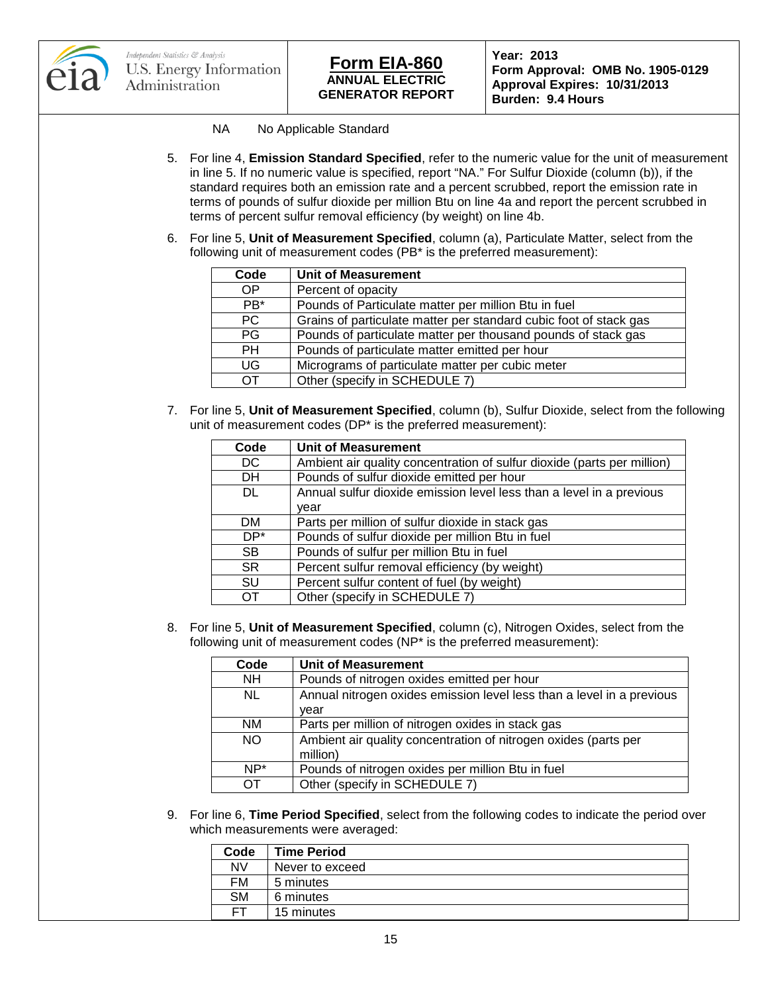

- NA No Applicable Standard
- 5. For line 4, **Emission Standard Specified**, refer to the numeric value for the unit of measurement in line 5. If no numeric value is specified, report "NA." For Sulfur Dioxide (column (b)), if the standard requires both an emission rate and a percent scrubbed, report the emission rate in terms of pounds of sulfur dioxide per million Btu on line 4a and report the percent scrubbed in terms of percent sulfur removal efficiency (by weight) on line 4b.
- 6. For line 5, **Unit of Measurement Specified**, column (a), Particulate Matter, select from the following unit of measurement codes (PB\* is the preferred measurement):

| Code      | <b>Unit of Measurement</b>                                        |
|-----------|-------------------------------------------------------------------|
| <b>OP</b> | Percent of opacity                                                |
| $PB*$     | Pounds of Particulate matter per million Btu in fuel              |
| PC        | Grains of particulate matter per standard cubic foot of stack gas |
| PG        | Pounds of particulate matter per thousand pounds of stack gas     |
| <b>PH</b> | Pounds of particulate matter emitted per hour                     |
| UG        | Micrograms of particulate matter per cubic meter                  |
| ОT        | Other (specify in SCHEDULE 7)                                     |

7. For line 5, **Unit of Measurement Specified**, column (b), Sulfur Dioxide, select from the following unit of measurement codes (DP\* is the preferred measurement):

| Code      | <b>Unit of Measurement</b>                                              |
|-----------|-------------------------------------------------------------------------|
| DC        | Ambient air quality concentration of sulfur dioxide (parts per million) |
| <b>DH</b> | Pounds of sulfur dioxide emitted per hour                               |
| DL.       | Annual sulfur dioxide emission level less than a level in a previous    |
|           | vear                                                                    |
| DM.       | Parts per million of sulfur dioxide in stack gas                        |
| DP*       | Pounds of sulfur dioxide per million Btu in fuel                        |
| <b>SB</b> | Pounds of sulfur per million Btu in fuel                                |
| <b>SR</b> | Percent sulfur removal efficiency (by weight)                           |
| SU        | Percent sulfur content of fuel (by weight)                              |
| ОT        | Other (specify in SCHEDULE 7)                                           |

8. For line 5, **Unit of Measurement Specified**, column (c), Nitrogen Oxides, select from the following unit of measurement codes (NP\* is the preferred measurement):

| Code      | <b>Unit of Measurement</b>                                            |
|-----------|-----------------------------------------------------------------------|
| <b>NH</b> | Pounds of nitrogen oxides emitted per hour                            |
| NL.       | Annual nitrogen oxides emission level less than a level in a previous |
|           | vear                                                                  |
| <b>NM</b> | Parts per million of nitrogen oxides in stack gas                     |
| <b>NO</b> | Ambient air quality concentration of nitrogen oxides (parts per       |
|           | million)                                                              |
| NP*       | Pounds of nitrogen oxides per million Btu in fuel                     |
| OТ        | Other (specify in SCHEDULE 7)                                         |

9. For line 6, **Time Period Specified**, select from the following codes to indicate the period over which measurements were averaged:

| Code      | <b>Time Period</b> |
|-----------|--------------------|
| <b>NV</b> | Never to exceed    |
| FM        | 5 minutes          |
| <b>SM</b> | 6 minutes          |
| FТ        | 15 minutes         |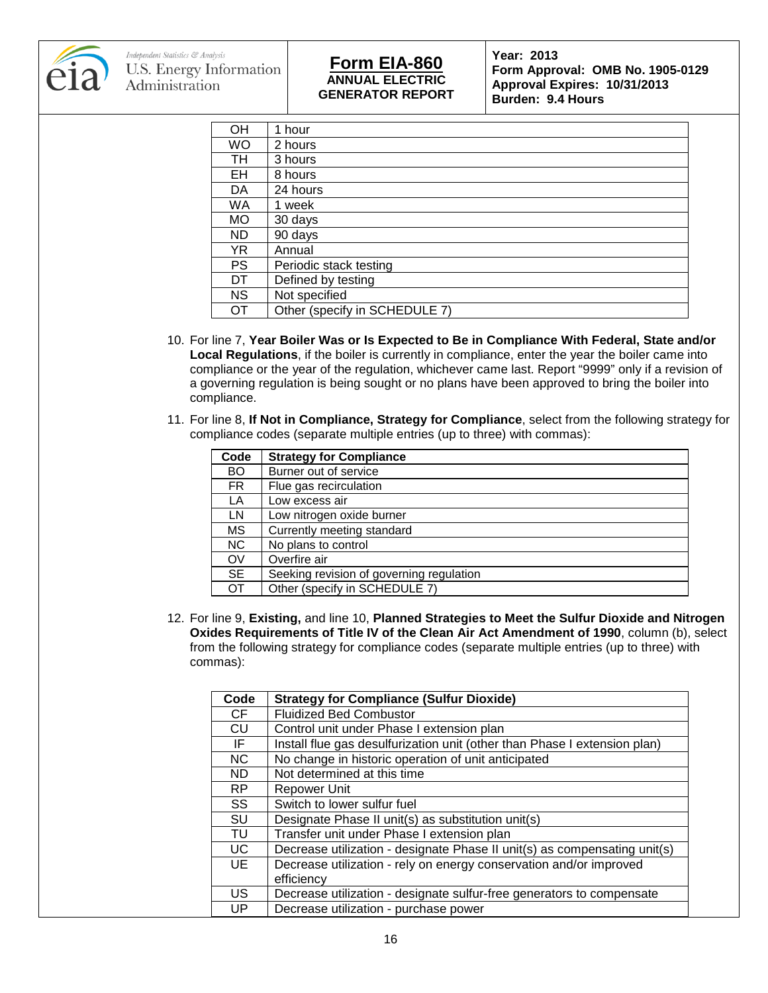

## **ANNUAL ELECTRIC GENERATOR REPORT Form EIA-860 Year: 2013**

**Form Approval: OMB No. 1905-0129 Approval Expires: 10/31/2013 Burden: 9.4 Hours**

| OH        | 1 hour                        |
|-----------|-------------------------------|
| WO        | 2 hours                       |
| TН        | 3 hours                       |
| EH        | 8 hours                       |
| DA        | 24 hours                      |
| WA        | 1 week                        |
| <b>MO</b> | 30 days                       |
| <b>ND</b> | 90 days                       |
| YR.       | Annual                        |
| <b>PS</b> | Periodic stack testing        |
| DT        | Defined by testing            |
| <b>NS</b> | Not specified                 |
| OТ        | Other (specify in SCHEDULE 7) |

- 10. For line 7, **Year Boiler Was or Is Expected to Be in Compliance With Federal, State and/or Local Regulations**, if the boiler is currently in compliance, enter the year the boiler came into compliance or the year of the regulation, whichever came last. Report "9999" only if a revision of a governing regulation is being sought or no plans have been approved to bring the boiler into compliance.
- 11. For line 8, **If Not in Compliance, Strategy for Compliance**, select from the following strategy for compliance codes (separate multiple entries (up to three) with commas):

| Code      | <b>Strategy for Compliance</b>           |
|-----------|------------------------------------------|
| <b>BO</b> | Burner out of service                    |
| <b>FR</b> | Flue gas recirculation                   |
| LA        | Low excess air                           |
| LN        | Low nitrogen oxide burner                |
| МS        | Currently meeting standard               |
| NC.       | No plans to control                      |
| OV        | Overfire air                             |
| <b>SE</b> | Seeking revision of governing regulation |
| ОT        | Other (specify in SCHEDULE 7)            |

12. For line 9, **Existing,** and line 10, **Planned Strategies to Meet the Sulfur Dioxide and Nitrogen Oxides Requirements of Title IV of the Clean Air Act Amendment of 1990**, column (b), select from the following strategy for compliance codes (separate multiple entries (up to three) with commas):

| Code      | <b>Strategy for Compliance (Sulfur Dioxide)</b>                           |
|-----------|---------------------------------------------------------------------------|
| CF.       | <b>Fluidized Bed Combustor</b>                                            |
| CU        | Control unit under Phase I extension plan                                 |
| IF.       | Install flue gas desulfurization unit (other than Phase I extension plan) |
| <b>NC</b> | No change in historic operation of unit anticipated                       |
| <b>ND</b> | Not determined at this time                                               |
| RP.       | Repower Unit                                                              |
| SS        | Switch to lower sulfur fuel                                               |
| SU        | Designate Phase II unit(s) as substitution unit(s)                        |
| TU        | Transfer unit under Phase I extension plan                                |
| UC        | Decrease utilization - designate Phase II unit(s) as compensating unit(s) |
| UE        | Decrease utilization - rely on energy conservation and/or improved        |
|           | efficiency                                                                |
| US.       | Decrease utilization - designate sulfur-free generators to compensate     |
| UP        | Decrease utilization - purchase power                                     |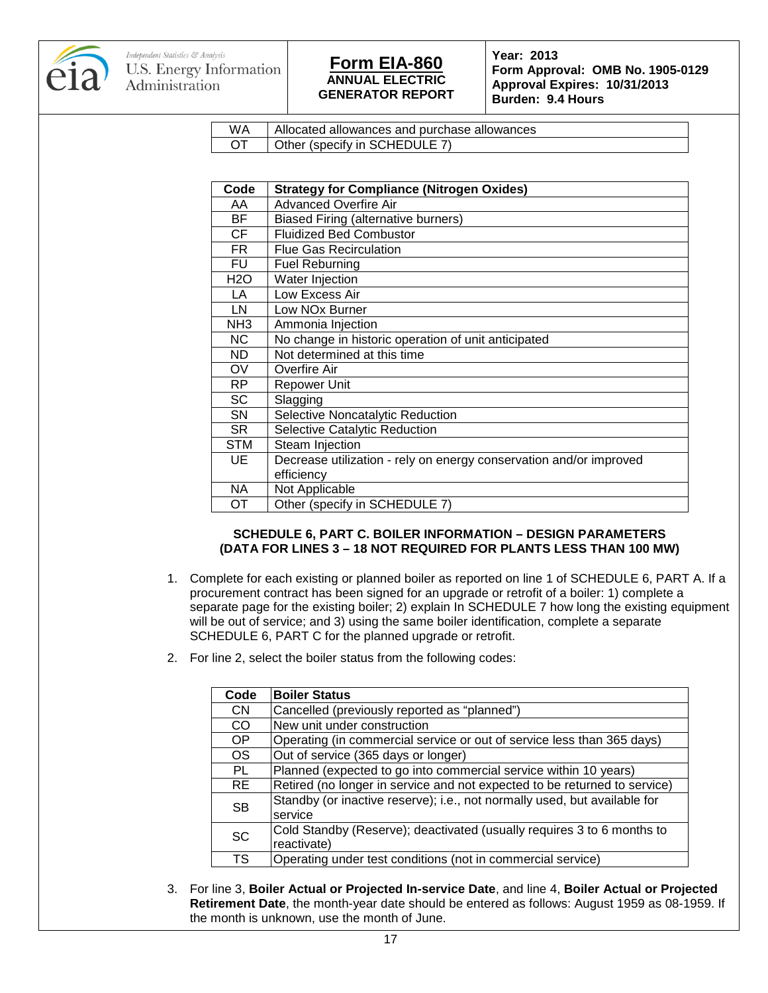

**Form Approval: OMB No. 1905-0129 Approval Expires: 10/31/2013 Burden: 9.4 Hours**

| W٨ | Allocated allowances and purchase allowances |
|----|----------------------------------------------|
|    | Other (specify in SCHEDULE 7)                |

| Code             | <b>Strategy for Compliance (Nitrogen Oxides)</b>                   |
|------------------|--------------------------------------------------------------------|
| AA               | <b>Advanced Overfire Air</b>                                       |
| BF               | Biased Firing (alternative burners)                                |
| CF               | <b>Fluidized Bed Combustor</b>                                     |
| FR.              | <b>Flue Gas Recirculation</b>                                      |
| FU               | <b>Fuel Reburning</b>                                              |
| H <sub>2</sub> O | Water Injection                                                    |
| LA               | Low Excess Air                                                     |
| LN               | Low NO <sub>x</sub> Burner                                         |
| NH <sub>3</sub>  | Ammonia Injection                                                  |
| <b>NC</b>        | No change in historic operation of unit anticipated                |
| ND.              | Not determined at this time                                        |
| OV               | Overfire Air                                                       |
| RP.              | Repower Unit                                                       |
| <b>SC</b>        | Slagging                                                           |
| SΝ               | Selective Noncatalytic Reduction                                   |
| SR.              | <b>Selective Catalytic Reduction</b>                               |
| STM              | Steam Injection                                                    |
| UE               | Decrease utilization - rely on energy conservation and/or improved |
|                  | efficiency                                                         |
| ΝA               | Not Applicable                                                     |
| ОT               | Other (specify in SCHEDULE 7)                                      |

#### **SCHEDULE 6, PART C. BOILER INFORMATION – DESIGN PARAMETERS (DATA FOR LINES 3 – 18 NOT REQUIRED FOR PLANTS LESS THAN 100 MW)**

- 1. Complete for each existing or planned boiler as reported on line 1 of SCHEDULE 6, PART A. If a procurement contract has been signed for an upgrade or retrofit of a boiler: 1) complete a separate page for the existing boiler; 2) explain In SCHEDULE 7 how long the existing equipment will be out of service; and 3) using the same boiler identification, complete a separate SCHEDULE 6, PART C for the planned upgrade or retrofit.
- 2. For line 2, select the boiler status from the following codes:

| Code                   | <b>Boiler Status</b>                                                                  |
|------------------------|---------------------------------------------------------------------------------------|
| <b>CN</b>              | Cancelled (previously reported as "planned")                                          |
| CO                     | New unit under construction                                                           |
| OP                     | Operating (in commercial service or out of service less than 365 days)                |
| <b>OS</b>              | Out of service (365 days or longer)                                                   |
| PL                     | Planned (expected to go into commercial service within 10 years)                      |
| <b>RE</b>              | Retired (no longer in service and not expected to be returned to service)             |
| <b>SB</b>              | Standby (or inactive reserve); i.e., not normally used, but available for<br>service  |
| <b>SC</b>              | Cold Standby (Reserve); deactivated (usually requires 3 to 6 months to<br>reactivate) |
| $\overline{\text{TS}}$ | Operating under test conditions (not in commercial service)                           |

3. For line 3, **Boiler Actual or Projected In-service Date**, and line 4, **Boiler Actual or Projected Retirement Date**, the month-year date should be entered as follows: August 1959 as 08-1959. If the month is unknown, use the month of June.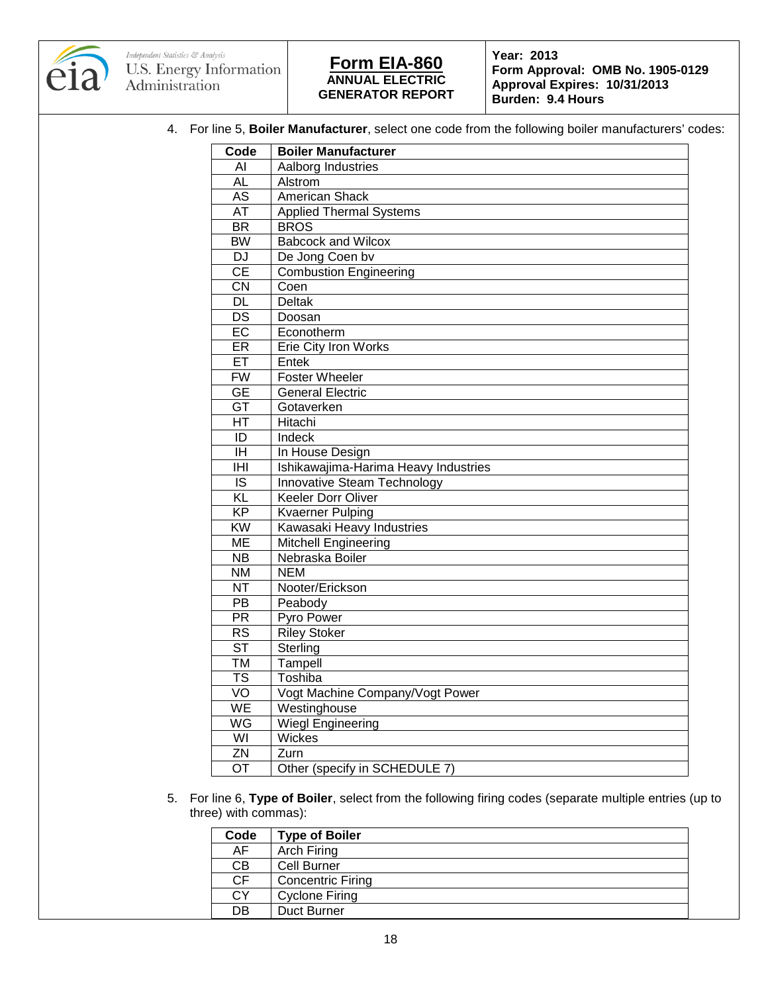



**Form Approval: OMB No. 1905-0129 Approval Expires: 10/31/2013 Burden: 9.4 Hours**

4. For line 5, **Boiler Manufacturer**, select one code from the following boiler manufacturers' codes:

| Code                   | <b>Boiler Manufacturer</b>           |
|------------------------|--------------------------------------|
| AI                     | Aalborg Industries                   |
| <b>AL</b>              | Alstrom                              |
| <b>AS</b>              | American Shack                       |
| <b>AT</b>              | <b>Applied Thermal Systems</b>       |
| <b>BR</b>              | <b>BROS</b>                          |
| <b>BW</b>              | <b>Babcock and Wilcox</b>            |
| <b>DJ</b>              | De Jong Coen bv                      |
| $\overline{CE}$        | <b>Combustion Engineering</b>        |
| CN                     | Coen                                 |
| $\overline{DL}$        | <b>Deltak</b>                        |
| <b>DS</b>              | Doosan                               |
| EC                     | Econotherm                           |
| ER                     | Erie City Iron Works                 |
| ET                     | Entek                                |
| <b>FW</b>              | Foster Wheeler                       |
| <b>GE</b>              | <b>General Electric</b>              |
| GT                     | Gotaverken                           |
| HT                     | Hitachi                              |
| ID                     | Indeck                               |
| IH                     | In House Design                      |
| IHI                    | Ishikawajima-Harima Heavy Industries |
| IS                     | Innovative Steam Technology          |
| $\overline{KL}$        | Keeler Dorr Oliver                   |
| <b>KP</b>              | <b>Kvaerner Pulping</b>              |
| $\overline{KW}$        | Kawasaki Heavy Industries            |
| <b>ME</b>              | Mitchell Engineering                 |
| <b>NB</b>              | Nebraska Boiler                      |
| $\overline{\text{NM}}$ | <b>NEM</b>                           |
| <b>NT</b>              | Nooter/Erickson                      |
| $\overline{PB}$        | Peabody                              |
| $\overline{PR}$        | Pyro Power                           |
| <b>RS</b>              | <b>Riley Stoker</b>                  |
| $\overline{\text{ST}}$ | Sterling                             |
| <b>TM</b>              | Tampell                              |
| <b>TS</b>              | Toshiba                              |
| VO                     | Vogt Machine Company/Vogt Power      |
| WE                     | Westinghouse                         |
| WG                     | <b>Wiegl Engineering</b>             |
| $\overline{W}$         | Wickes                               |
| ZN                     | Zurn                                 |
| $\overline{OT}$        | Other (specify in SCHEDULE 7)        |

5. For line 6, **Type of Boiler**, select from the following firing codes (separate multiple entries (up to three) with commas):

| Code      | <b>Type of Boiler</b>    |
|-----------|--------------------------|
| AF        | Arch Firing              |
| СB        | Cell Burner              |
| <b>CF</b> | <b>Concentric Firing</b> |
| СY        | <b>Cyclone Firing</b>    |
| DB        | Duct Burner              |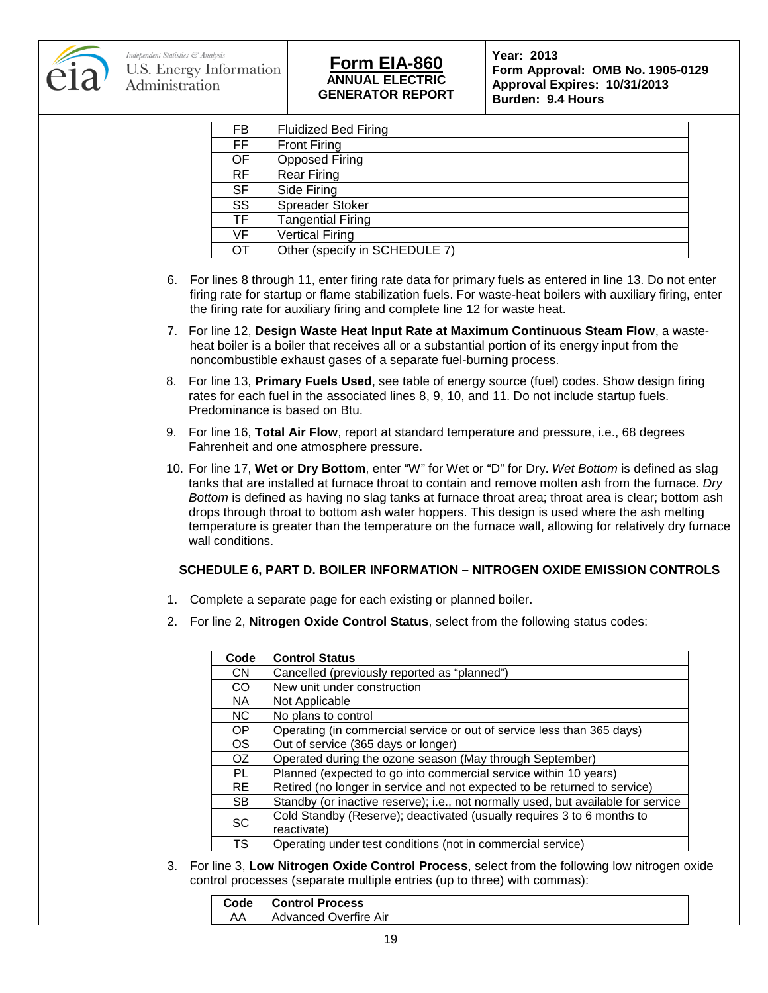

## **ANNUAL ELECTRIC GENERATOR REPORT Form EIA-860 Year: 2013**

**Form Approval: OMB No. 1905-0129 Approval Expires: 10/31/2013 Burden: 9.4 Hours**

| FB        | <b>Fluidized Bed Firing</b>   |
|-----------|-------------------------------|
| FF        | <b>Front Firing</b>           |
| OF        | <b>Opposed Firing</b>         |
| <b>RF</b> | <b>Rear Firing</b>            |
| SF        | Side Firing                   |
| SS        | Spreader Stoker               |
| TF        | <b>Tangential Firing</b>      |
| VF        | <b>Vertical Firing</b>        |
| ΟT        | Other (specify in SCHEDULE 7) |
|           |                               |

- 6. For lines 8 through 11, enter firing rate data for primary fuels as entered in line 13. Do not enter firing rate for startup or flame stabilization fuels. For waste-heat boilers with auxiliary firing, enter the firing rate for auxiliary firing and complete line 12 for waste heat.
- 7. For line 12, **Design Waste Heat Input Rate at Maximum Continuous Steam Flow**, a wasteheat boiler is a boiler that receives all or a substantial portion of its energy input from the noncombustible exhaust gases of a separate fuel-burning process.
- 8. For line 13, **Primary Fuels Used**, see table of energy source (fuel) codes. Show design firing rates for each fuel in the associated lines 8, 9, 10, and 11. Do not include startup fuels. Predominance is based on Btu.
- 9. For line 16, **Total Air Flow**, report at standard temperature and pressure, i.e., 68 degrees Fahrenheit and one atmosphere pressure.
- 10. For line 17, **Wet or Dry Bottom**, enter "W" for Wet or "D" for Dry. *Wet Bottom* is defined as slag tanks that are installed at furnace throat to contain and remove molten ash from the furnace. *Dry Bottom* is defined as having no slag tanks at furnace throat area; throat area is clear; bottom ash drops through throat to bottom ash water hoppers. This design is used where the ash melting temperature is greater than the temperature on the furnace wall, allowing for relatively dry furnace wall conditions.

#### **SCHEDULE 6, PART D. BOILER INFORMATION – NITROGEN OXIDE EMISSION CONTROLS**

- 1. Complete a separate page for each existing or planned boiler.
- 2. For line 2, **Nitrogen Oxide Control Status**, select from the following status codes:

| Code      | <b>Control Status</b>                                                             |
|-----------|-----------------------------------------------------------------------------------|
| <b>CN</b> | Cancelled (previously reported as "planned")                                      |
| CO.       | New unit under construction                                                       |
| NA.       | Not Applicable                                                                    |
| <b>NC</b> | No plans to control                                                               |
| OP        | Operating (in commercial service or out of service less than 365 days)            |
| <b>OS</b> | Out of service (365 days or longer)                                               |
| OZ.       | Operated during the ozone season (May through September)                          |
| PL        | Planned (expected to go into commercial service within 10 years)                  |
| <b>RE</b> | Retired (no longer in service and not expected to be returned to service)         |
| SB.       | Standby (or inactive reserve); i.e., not normally used, but available for service |
| <b>SC</b> | Cold Standby (Reserve); deactivated (usually requires 3 to 6 months to            |
|           | reactivate)                                                                       |
| <b>TS</b> | Operating under test conditions (not in commercial service)                       |

3. For line 3, **Low Nitrogen Oxide Control Process**, select from the following low nitrogen oxide control processes (separate multiple entries (up to three) with commas):

| Code          | <b>Control Process</b> |
|---------------|------------------------|
| AA<br>$\cdot$ | Advanced Overfire Air  |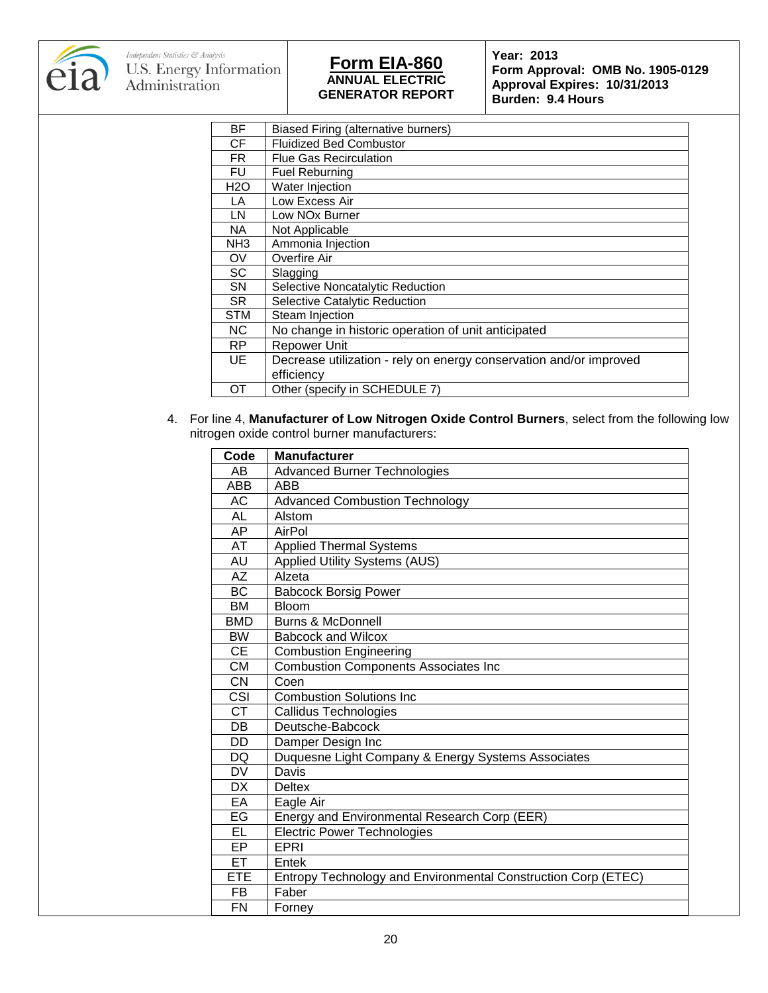

**Form Approval: OMB No. 1905-0129 Approval Expires: 10/31/2013 Burden: 9.4 Hours**

| <b>BF</b>       | Biased Firing (alternative burners)                                |
|-----------------|--------------------------------------------------------------------|
| СF              | <b>Fluidized Bed Combustor</b>                                     |
| FR.             | Flue Gas Recirculation                                             |
| FU              | Fuel Reburning                                                     |
| H2O             | Water Injection                                                    |
| LA              | Low Excess Air                                                     |
| LN              | Low NOx Burner                                                     |
| NA.             | Not Applicable                                                     |
| NH <sub>3</sub> | Ammonia Injection                                                  |
| OV              | Overfire Air                                                       |
| SC              | Slagging                                                           |
| <b>SN</b>       | Selective Noncatalytic Reduction                                   |
| SR.             | Selective Catalytic Reduction                                      |
| <b>STM</b>      | Steam Injection                                                    |
| <b>NC</b>       | No change in historic operation of unit anticipated                |
| <b>RP</b>       | <b>Repower Unit</b>                                                |
| UE              | Decrease utilization - rely on energy conservation and/or improved |
|                 | efficiency                                                         |
| OТ              | Other (specify in SCHEDULE 7)                                      |
|                 |                                                                    |

4. For line 4, **Manufacturer of Low Nitrogen Oxide Control Burners**, select from the following low nitrogen oxide control burner manufacturers:

| Code       | <b>Manufacturer</b>                                           |
|------------|---------------------------------------------------------------|
| AB         | <b>Advanced Burner Technologies</b>                           |
| <b>ABB</b> | <b>ABB</b>                                                    |
| <b>AC</b>  | <b>Advanced Combustion Technology</b>                         |
| AL         | Alstom                                                        |
| AP         | AirPol                                                        |
| AT         | <b>Applied Thermal Systems</b>                                |
| AU         | Applied Utility Systems (AUS)                                 |
| <b>AZ</b>  | Alzeta                                                        |
| <b>BC</b>  | <b>Babcock Borsig Power</b>                                   |
| <b>BM</b>  | <b>Bloom</b>                                                  |
| <b>BMD</b> | <b>Burns &amp; McDonnell</b>                                  |
| <b>BW</b>  | <b>Babcock and Wilcox</b>                                     |
| <b>CE</b>  | <b>Combustion Engineering</b>                                 |
| <b>CM</b>  | <b>Combustion Components Associates Inc</b>                   |
| <b>CN</b>  | Coen                                                          |
| CSI        | <b>Combustion Solutions Inc.</b>                              |
| <b>CT</b>  | <b>Callidus Technologies</b>                                  |
| DB         | Deutsche-Babcock                                              |
| DD         | Damper Design Inc                                             |
| DQ         | Duquesne Light Company & Energy Systems Associates            |
| <b>DV</b>  | Davis                                                         |
| <b>DX</b>  | <b>Deltex</b>                                                 |
| EA         | Eagle Air                                                     |
| EG         | Energy and Environmental Research Corp (EER)                  |
| EL.        | <b>Electric Power Technologies</b>                            |
| EP         | EPRI                                                          |
| ET.        | Entek                                                         |
| <b>ETE</b> | Entropy Technology and Environmental Construction Corp (ETEC) |
| FB         | Faber                                                         |
| <b>FN</b>  | Forney                                                        |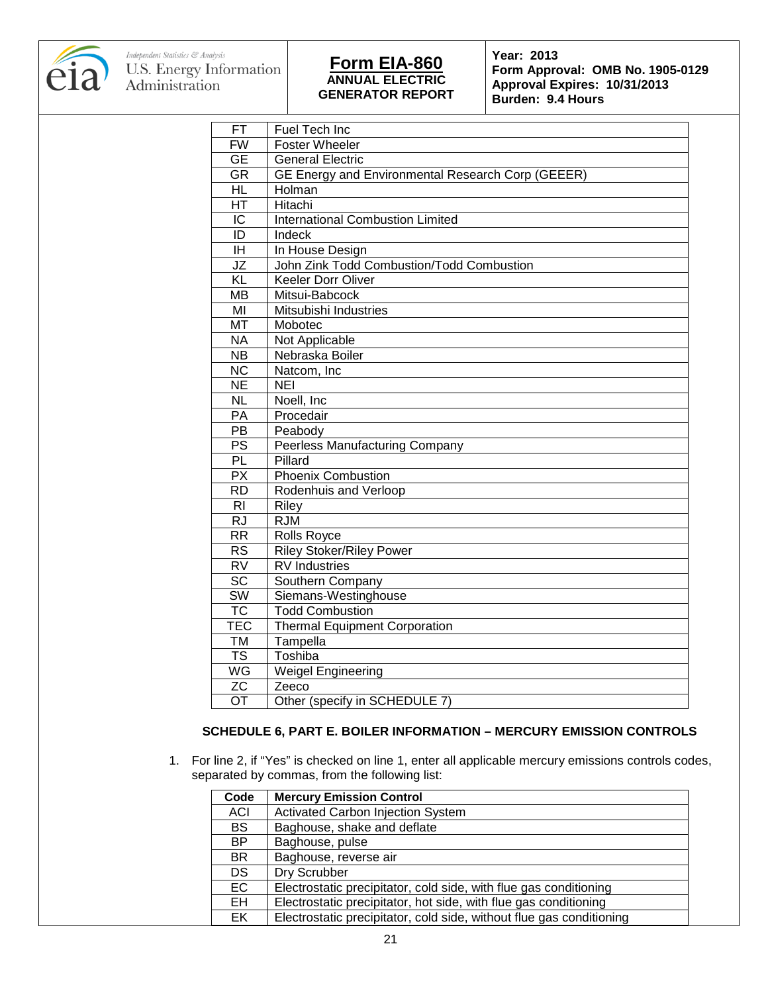

**Form Approval: OMB No. 1905-0129 Approval Expires: 10/31/2013 Burden: 9.4 Hours**

| FT                       | Fuel Tech Inc                                     |
|--------------------------|---------------------------------------------------|
| <b>FW</b>                | <b>Foster Wheeler</b>                             |
| <b>GE</b>                | <b>General Electric</b>                           |
| $\overline{\mathsf{GR}}$ | GE Energy and Environmental Research Corp (GEEER) |
| <b>HL</b>                | Holman                                            |
| HT                       | Hitachi                                           |
| $\overline{IC}$          | <b>International Combustion Limited</b>           |
| ID                       | Indeck                                            |
| ΙH                       | In House Design                                   |
| $\overline{\mathsf{JZ}}$ | John Zink Todd Combustion/Todd Combustion         |
| $\overline{KL}$          | Keeler Dorr Oliver                                |
| <b>MB</b>                | Mitsui-Babcock                                    |
| MI                       | Mitsubishi Industries                             |
| <b>MT</b>                | Mobotec                                           |
| <b>NA</b>                | Not Applicable                                    |
| <b>NB</b>                | Nebraska Boiler                                   |
| $\overline{\text{NC}}$   | Natcom, Inc                                       |
| $\overline{\sf NE}$      | <b>NEI</b>                                        |
| <b>NL</b>                | Noell, Inc                                        |
| PA                       | Procedair                                         |
| PB                       | Peabody                                           |
| $\overline{PS}$          | <b>Peerless Manufacturing Company</b>             |
| PL                       | Pillard                                           |
| $\overline{PX}$          | <b>Phoenix Combustion</b>                         |
| <b>RD</b>                | Rodenhuis and Verloop                             |
| R <sub>l</sub>           | Riley                                             |
| $\overline{\text{RJ}}$   | <b>RJM</b>                                        |
| <b>RR</b>                | Rolls Royce                                       |
| $\overline{\text{RS}}$   | <b>Riley Stoker/Riley Power</b>                   |
| $\overline{\text{RV}}$   | <b>RV</b> Industries                              |
| $\overline{SC}$          | Southern Company                                  |
| $\overline{\text{SW}}$   | Siemans-Westinghouse                              |
| $\overline{\text{TC}}$   | <b>Todd Combustion</b>                            |
| TEC                      | <b>Thermal Equipment Corporation</b>              |
| TM                       | Tampella                                          |
| $\overline{\text{TS}}$   | Toshiba                                           |
| WG                       | <b>Weigel Engineering</b>                         |
| $\overline{z}$ C         | Zeeco                                             |
| $\overline{OT}$          | Other (specify in SCHEDULE 7)                     |

#### **SCHEDULE 6, PART E. BOILER INFORMATION – MERCURY EMISSION CONTROLS**

1. For line 2, if "Yes" is checked on line 1, enter all applicable mercury emissions controls codes, separated by commas, from the following list:

| Code       | <b>Mercury Emission Control</b>                                      |
|------------|----------------------------------------------------------------------|
| <b>ACI</b> | <b>Activated Carbon Injection System</b>                             |
| <b>BS</b>  | Baghouse, shake and deflate                                          |
| BP         | Baghouse, pulse                                                      |
| <b>BR</b>  | Baghouse, reverse air                                                |
| DS         | Dry Scrubber                                                         |
| <b>EC</b>  | Electrostatic precipitator, cold side, with flue gas conditioning    |
| EH         | Electrostatic precipitator, hot side, with flue gas conditioning     |
| EK         | Electrostatic precipitator, cold side, without flue gas conditioning |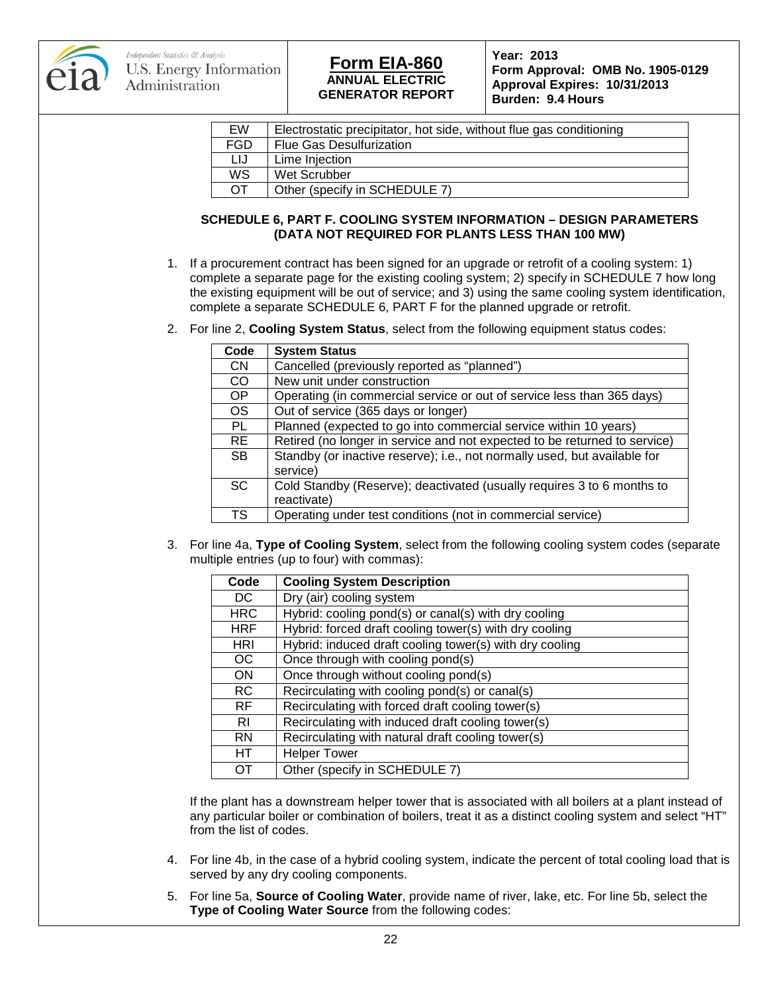

## **ANNUAL ELECTRIC GENERATOR REPORT Form EIA-860 Year: 2013**

**Form Approval: OMB No. 1905-0129 Approval Expires: 10/31/2013 Burden: 9.4 Hours**

| EW        | Electrostatic precipitator, hot side, without flue gas conditioning |
|-----------|---------------------------------------------------------------------|
| FGD       | <b>Flue Gas Desulfurization</b>                                     |
| LIJ       | Lime Injection                                                      |
| WS        | Wet Scrubber                                                        |
| <b>OT</b> | Other (specify in SCHEDULE 7)                                       |

### **SCHEDULE 6, PART F. COOLING SYSTEM INFORMATION – DESIGN PARAMETERS (DATA NOT REQUIRED FOR PLANTS LESS THAN 100 MW)**

- 1. If a procurement contract has been signed for an upgrade or retrofit of a cooling system: 1) complete a separate page for the existing cooling system; 2) specify in SCHEDULE 7 how long the existing equipment will be out of service; and 3) using the same cooling system identification, complete a separate SCHEDULE 6, PART F for the planned upgrade or retrofit.
- 2. For line 2, **Cooling System Status**, select from the following equipment status codes:

| Code      | <b>System Status</b>                                                                  |
|-----------|---------------------------------------------------------------------------------------|
| <b>CN</b> | Cancelled (previously reported as "planned")                                          |
| CO        | New unit under construction                                                           |
| OP        | Operating (in commercial service or out of service less than 365 days)                |
| <b>OS</b> | Out of service (365 days or longer)                                                   |
| <b>PL</b> | Planned (expected to go into commercial service within 10 years)                      |
| <b>RE</b> | Retired (no longer in service and not expected to be returned to service)             |
| <b>SB</b> | Standby (or inactive reserve); i.e., not normally used, but available for<br>service) |
| <b>SC</b> | Cold Standby (Reserve); deactivated (usually requires 3 to 6 months to<br>reactivate) |
| TS        | Operating under test conditions (not in commercial service)                           |

3. For line 4a, **Type of Cooling System**, select from the following cooling system codes (separate multiple entries (up to four) with commas):

| Code       | <b>Cooling System Description</b>                       |
|------------|---------------------------------------------------------|
| DC.        | Dry (air) cooling system                                |
| <b>HRC</b> | Hybrid: cooling pond(s) or canal(s) with dry cooling    |
| <b>HRF</b> | Hybrid: forced draft cooling tower(s) with dry cooling  |
| <b>HRI</b> | Hybrid: induced draft cooling tower(s) with dry cooling |
| OC.        | Once through with cooling pond(s)                       |
| <b>ON</b>  | Once through without cooling pond(s)                    |
| <b>RC</b>  | Recirculating with cooling pond(s) or canal(s)          |
| <b>RF</b>  | Recirculating with forced draft cooling tower(s)        |
| RI         | Recirculating with induced draft cooling tower(s)       |
| <b>RN</b>  | Recirculating with natural draft cooling tower(s)       |
| HT.        | <b>Helper Tower</b>                                     |
| OТ         | Other (specify in SCHEDULE 7)                           |

If the plant has a downstream helper tower that is associated with all boilers at a plant instead of any particular boiler or combination of boilers, treat it as a distinct cooling system and select "HT" from the list of codes.

- 4. For line 4b, in the case of a hybrid cooling system, indicate the percent of total cooling load that is served by any dry cooling components.
- 5. For line 5a, **Source of Cooling Water**, provide name of river, lake, etc. For line 5b, select the **Type of Cooling Water Source** from the following codes: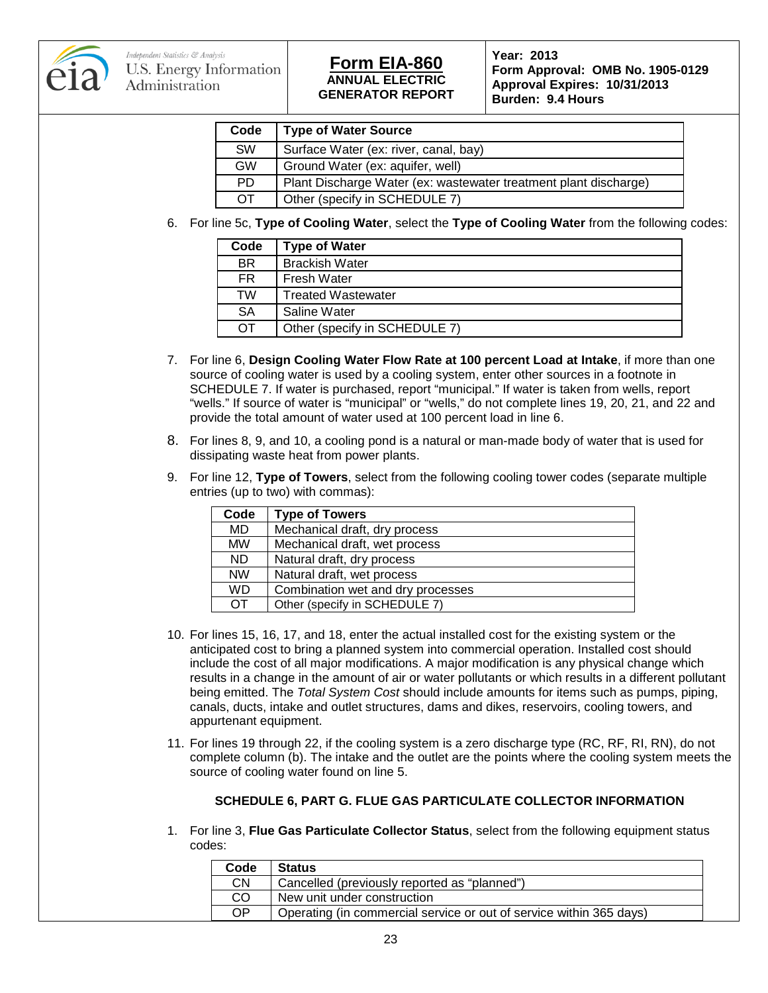

## **ANNUAL ELECTRIC GENERATOR REPORT Form EIA-860 Year: 2013**

**Form Approval: OMB No. 1905-0129 Approval Expires: 10/31/2013 Burden: 9.4 Hours**

| Code      | <b>Type of Water Source</b>                                      |
|-----------|------------------------------------------------------------------|
| <b>SW</b> | Surface Water (ex: river, canal, bay)                            |
| GW        | Ground Water (ex: aquifer, well)                                 |
| <b>PD</b> | Plant Discharge Water (ex: wastewater treatment plant discharge) |
| OT        | Other (specify in SCHEDULE 7)                                    |

6. For line 5c, **Type of Cooling Water**, select the **Type of Cooling Water** from the following codes:

| Code      | <b>Type of Water</b>          |
|-----------|-------------------------------|
| BR.       | <b>Brackish Water</b>         |
| <b>FR</b> | <b>Fresh Water</b>            |
| TW        | <b>Treated Wastewater</b>     |
| <b>SA</b> | Saline Water                  |
| OΤ        | Other (specify in SCHEDULE 7) |

- 7. For line 6, **Design Cooling Water Flow Rate at 100 percent Load at Intake**, if more than one source of cooling water is used by a cooling system, enter other sources in a footnote in SCHEDULE 7. If water is purchased, report "municipal." If water is taken from wells, report "wells." If source of water is "municipal" or "wells," do not complete lines 19, 20, 21, and 22 and provide the total amount of water used at 100 percent load in line 6.
- 8. For lines 8, 9, and 10, a cooling pond is a natural or man-made body of water that is used for dissipating waste heat from power plants.
- 9. For line 12, **Type of Towers**, select from the following cooling tower codes (separate multiple entries (up to two) with commas):

| Code           | <b>Type of Towers</b>             |
|----------------|-----------------------------------|
| <b>MD</b>      | Mechanical draft, dry process     |
| <b>MW</b>      | Mechanical draft, wet process     |
| ND.            | Natural draft, dry process        |
| <b>NW</b>      | Natural draft, wet process        |
| <b>WD</b>      | Combination wet and dry processes |
| $\overline{O}$ | Other (specify in SCHEDULE 7)     |

- 10. For lines 15, 16, 17, and 18, enter the actual installed cost for the existing system or the anticipated cost to bring a planned system into commercial operation. Installed cost should include the cost of all major modifications. A major modification is any physical change which results in a change in the amount of air or water pollutants or which results in a different pollutant being emitted. The *Total System Cost* should include amounts for items such as pumps, piping, canals, ducts, intake and outlet structures, dams and dikes, reservoirs, cooling towers, and appurtenant equipment.
- 11. For lines 19 through 22, if the cooling system is a zero discharge type (RC, RF, RI, RN), do not complete column (b). The intake and the outlet are the points where the cooling system meets the source of cooling water found on line 5.

### **SCHEDULE 6, PART G. FLUE GAS PARTICULATE COLLECTOR INFORMATION**

1. For line 3, **Flue Gas Particulate Collector Status**, select from the following equipment status codes:

| Code      | <b>Status</b>                                                       |
|-----------|---------------------------------------------------------------------|
| <b>CN</b> | Cancelled (previously reported as "planned")                        |
| CO        | New unit under construction                                         |
| <b>OP</b> | Operating (in commercial service or out of service within 365 days) |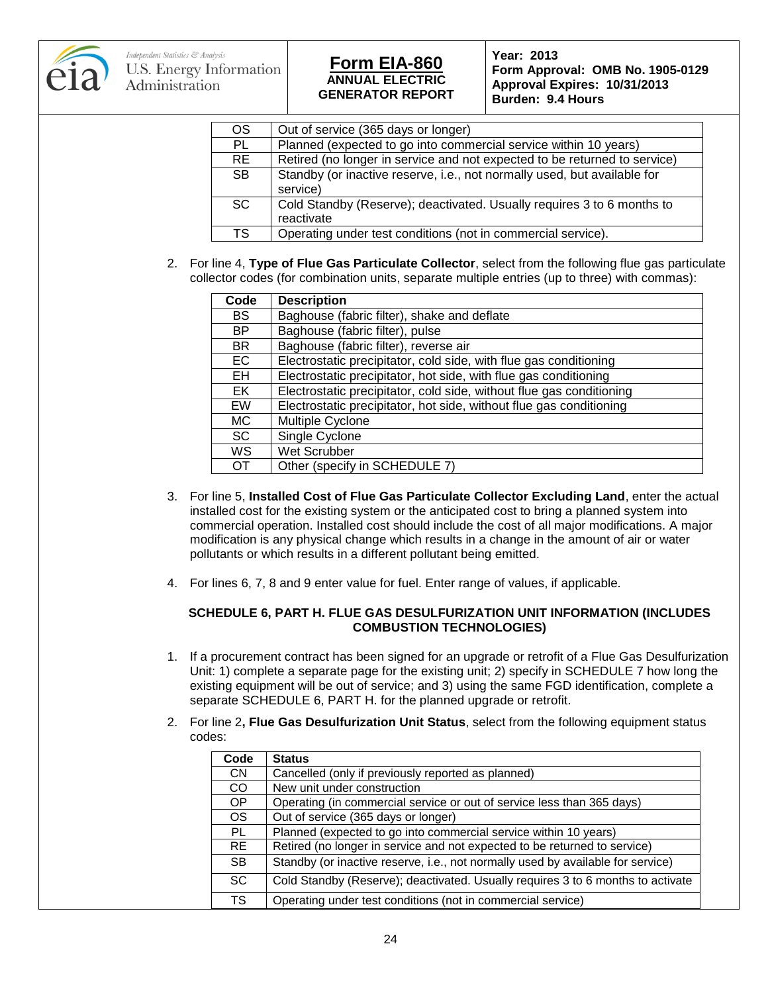

**Form Approval: OMB No. 1905-0129 Approval Expires: 10/31/2013 Burden: 9.4 Hours**

| OS        | Out of service (365 days or longer)                                       |
|-----------|---------------------------------------------------------------------------|
| PL        | Planned (expected to go into commercial service within 10 years)          |
| <b>RE</b> | Retired (no longer in service and not expected to be returned to service) |
| SB.       | Standby (or inactive reserve, i.e., not normally used, but available for  |
|           | service)                                                                  |
| SC.       | Cold Standby (Reserve); deactivated. Usually requires 3 to 6 months to    |
|           | reactivate                                                                |
| TS        | Operating under test conditions (not in commercial service).              |

2. For line 4, **Type of Flue Gas Particulate Collector**, select from the following flue gas particulate collector codes (for combination units, separate multiple entries (up to three) with commas):

| Code      | <b>Description</b>                                                   |
|-----------|----------------------------------------------------------------------|
| <b>BS</b> | Baghouse (fabric filter), shake and deflate                          |
| <b>BP</b> | Baghouse (fabric filter), pulse                                      |
| <b>BR</b> | Baghouse (fabric filter), reverse air                                |
| <b>EC</b> | Electrostatic precipitator, cold side, with flue gas conditioning    |
| EH        | Electrostatic precipitator, hot side, with flue gas conditioning     |
| EK        | Electrostatic precipitator, cold side, without flue gas conditioning |
| <b>EW</b> | Electrostatic precipitator, hot side, without flue gas conditioning  |
| MC.       | Multiple Cyclone                                                     |
| <b>SC</b> | Single Cyclone                                                       |
| <b>WS</b> | Wet Scrubber                                                         |
| ΩT        | Other (specify in SCHEDULE 7)                                        |

- 3. For line 5, **Installed Cost of Flue Gas Particulate Collector Excluding Land**, enter the actual installed cost for the existing system or the anticipated cost to bring a planned system into commercial operation. Installed cost should include the cost of all major modifications. A major modification is any physical change which results in a change in the amount of air or water pollutants or which results in a different pollutant being emitted.
- 4. For lines 6, 7, 8 and 9 enter value for fuel. Enter range of values, if applicable.

#### **SCHEDULE 6, PART H. FLUE GAS DESULFURIZATION UNIT INFORMATION (INCLUDES COMBUSTION TECHNOLOGIES)**

- 1. If a procurement contract has been signed for an upgrade or retrofit of a Flue Gas Desulfurization Unit: 1) complete a separate page for the existing unit; 2) specify in SCHEDULE 7 how long the existing equipment will be out of service; and 3) using the same FGD identification, complete a separate SCHEDULE 6, PART H. for the planned upgrade or retrofit.
- 2. For line 2**, Flue Gas Desulfurization Unit Status**, select from the following equipment status codes:

| Code      | <b>Status</b>                                                                   |
|-----------|---------------------------------------------------------------------------------|
| CN.       | Cancelled (only if previously reported as planned)                              |
| CO.       | New unit under construction                                                     |
| OP        | Operating (in commercial service or out of service less than 365 days)          |
| <b>OS</b> | Out of service (365 days or longer)                                             |
| <b>PL</b> | Planned (expected to go into commercial service within 10 years)                |
| RE.       | Retired (no longer in service and not expected to be returned to service)       |
| <b>SB</b> | Standby (or inactive reserve, i.e., not normally used by available for service) |
| SC.       | Cold Standby (Reserve); deactivated. Usually requires 3 to 6 months to activate |
| <b>TS</b> | Operating under test conditions (not in commercial service)                     |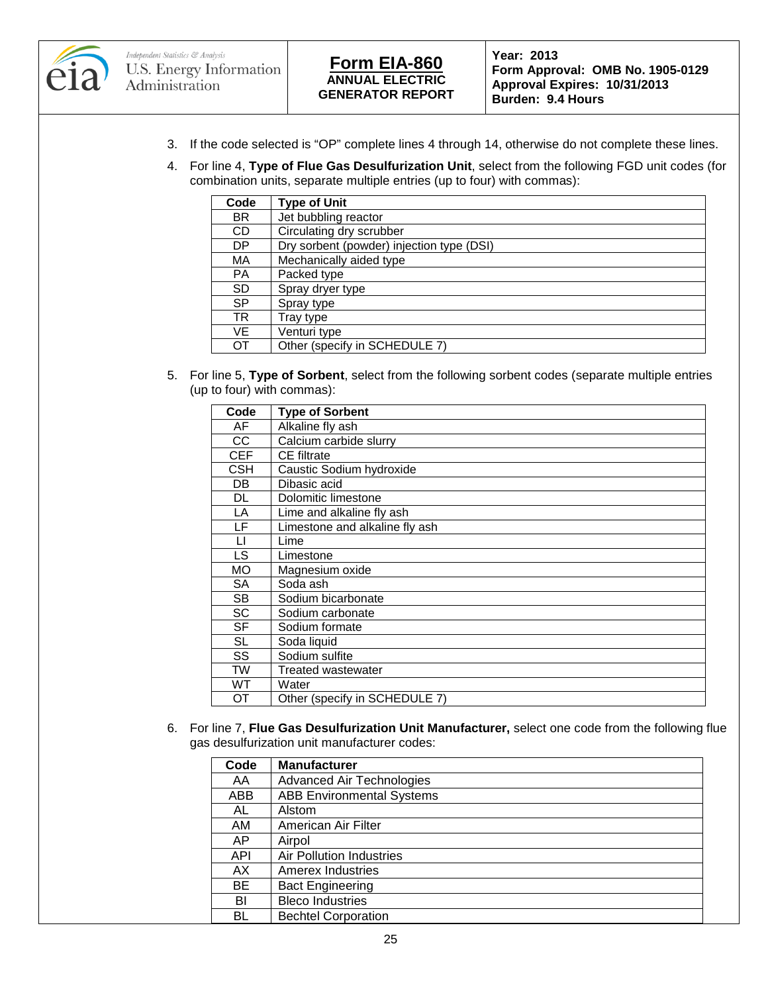



**Form Approval: OMB No. 1905-0129 Approval Expires: 10/31/2013 Burden: 9.4 Hours**

- 3. If the code selected is "OP" complete lines 4 through 14, otherwise do not complete these lines.
- 4. For line 4, **Type of Flue Gas Desulfurization Unit**, select from the following FGD unit codes (for combination units, separate multiple entries (up to four) with commas):

| Code      | <b>Type of Unit</b>                       |
|-----------|-------------------------------------------|
| <b>BR</b> | Jet bubbling reactor                      |
| CD.       | Circulating dry scrubber                  |
| DP        | Dry sorbent (powder) injection type (DSI) |
| MA        | Mechanically aided type                   |
| PA        | Packed type                               |
| <b>SD</b> | Spray dryer type                          |
| <b>SP</b> | Spray type                                |
| TR        | Tray type                                 |
| VE        | Venturi type                              |
| OТ        | Other (specify in SCHEDULE 7)             |

5. For line 5, **Type of Sorbent**, select from the following sorbent codes (separate multiple entries (up to four) with commas):

| Code | <b>Type of Sorbent</b>         |
|------|--------------------------------|
| AF   | Alkaline fly ash               |
| CС   | Calcium carbide slurry         |
| CEF  | <b>CE</b> filtrate             |
| CSH  | Caustic Sodium hydroxide       |
| DB   | Dibasic acid                   |
| DL   | Dolomitic limestone            |
| LA   | Lime and alkaline fly ash      |
| LF   | Limestone and alkaline fly ash |
| П    | Lime                           |
| LS   | Limestone                      |
| МO   | Magnesium oxide                |
| SA   | Soda ash                       |
| SB.  | Sodium bicarbonate             |
| SC   | Sodium carbonate               |
| SF   | Sodium formate                 |
| SL   | Soda liquid                    |
| SS   | Sodium sulfite                 |
| TW   | <b>Treated wastewater</b>      |
| wт   | Water                          |
| OТ   | Other (specify in SCHEDULE 7)  |

6. For line 7, **Flue Gas Desulfurization Unit Manufacturer,** select one code from the following flue gas desulfurization unit manufacturer codes:

| Code       | <b>Manufacturer</b>              |
|------------|----------------------------------|
| AA         | <b>Advanced Air Technologies</b> |
| ABB        | <b>ABB Environmental Systems</b> |
| AL         | Alstom                           |
| AM         | American Air Filter              |
| AP         | Airpol                           |
| <b>API</b> | Air Pollution Industries         |
| AX         | <b>Amerex Industries</b>         |
| BE         | <b>Bact Engineering</b>          |
| BI         | <b>Bleco Industries</b>          |
| BL         | <b>Bechtel Corporation</b>       |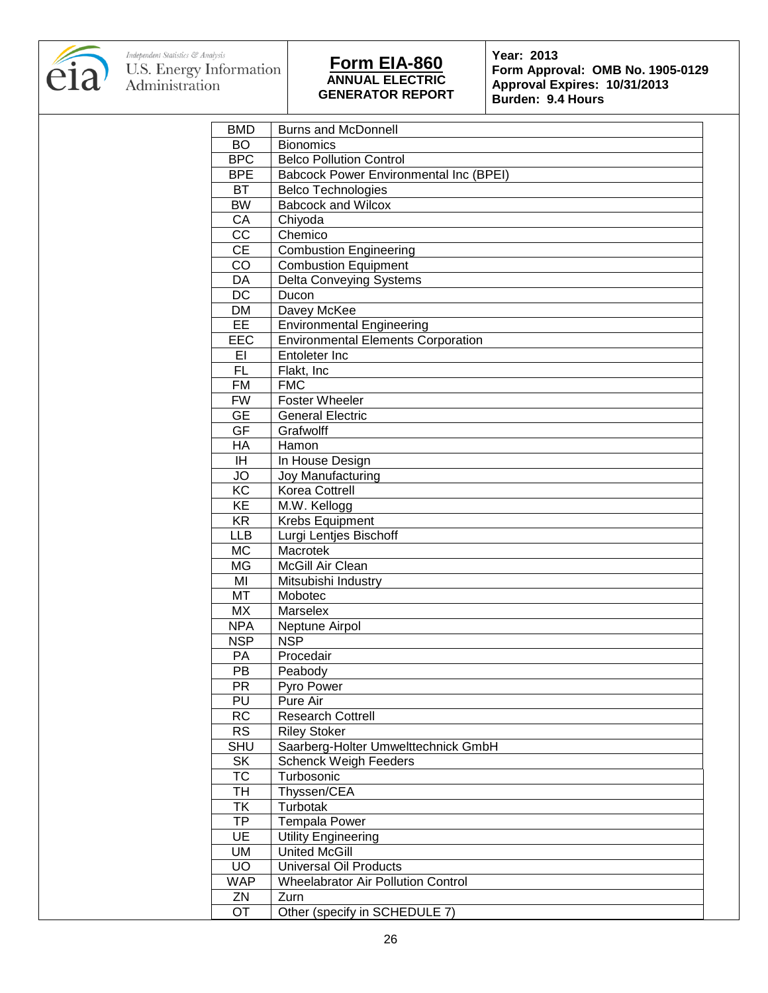

**Form Approval: OMB No. 1905-0129 Approval Expires: 10/31/2013 Burden: 9.4 Hours**

| <b>BMD</b>             | <b>Burns and McDonnell</b>                    |  |  |  |  |  |
|------------------------|-----------------------------------------------|--|--|--|--|--|
| <b>BO</b>              | <b>Bionomics</b>                              |  |  |  |  |  |
| <b>BPC</b>             | <b>Belco Pollution Control</b>                |  |  |  |  |  |
| <b>BPE</b>             | <b>Babcock Power Environmental Inc (BPEI)</b> |  |  |  |  |  |
| BT                     | <b>Belco Technologies</b>                     |  |  |  |  |  |
| <b>BW</b>              | <b>Babcock and Wilcox</b>                     |  |  |  |  |  |
| CA                     | Chiyoda                                       |  |  |  |  |  |
| $\overline{cc}$        | Chemico                                       |  |  |  |  |  |
| $\overline{CE}$        | <b>Combustion Engineering</b>                 |  |  |  |  |  |
| $\overline{C}$         | <b>Combustion Equipment</b>                   |  |  |  |  |  |
| DA                     | <b>Delta Conveying Systems</b>                |  |  |  |  |  |
| $\overline{DC}$        | Ducon                                         |  |  |  |  |  |
| <b>DM</b>              | Davey McKee                                   |  |  |  |  |  |
| EE                     | <b>Environmental Engineering</b>              |  |  |  |  |  |
| EEC                    | <b>Environmental Elements Corporation</b>     |  |  |  |  |  |
| EI                     | Entoleter Inc                                 |  |  |  |  |  |
| FL.                    | Flakt, Inc                                    |  |  |  |  |  |
| <b>FM</b>              | <b>FMC</b>                                    |  |  |  |  |  |
| <b>FW</b>              | <b>Foster Wheeler</b>                         |  |  |  |  |  |
| <b>GE</b>              | <b>General Electric</b>                       |  |  |  |  |  |
| GF                     | Grafwolff                                     |  |  |  |  |  |
| $\overline{HA}$        | Hamon                                         |  |  |  |  |  |
|                        |                                               |  |  |  |  |  |
| IH.                    | In House Design                               |  |  |  |  |  |
| <b>JO</b>              | Joy Manufacturing                             |  |  |  |  |  |
| $\overline{KC}$        | Korea Cottrell                                |  |  |  |  |  |
| $\overline{KE}$        | M.W. Kellogg                                  |  |  |  |  |  |
| <b>KR</b>              | Krebs Equipment                               |  |  |  |  |  |
| <b>LLB</b>             | Lurgi Lentjes Bischoff<br>Macrotek            |  |  |  |  |  |
| <b>MC</b><br><b>MG</b> |                                               |  |  |  |  |  |
|                        | McGill Air Clean                              |  |  |  |  |  |
| MI                     | Mitsubishi Industry                           |  |  |  |  |  |
| MT                     | Mobotec                                       |  |  |  |  |  |
| <b>MX</b>              | Marselex                                      |  |  |  |  |  |
| <b>NPA</b>             | Neptune Airpol                                |  |  |  |  |  |
| <b>NSP</b>             | <b>NSP</b>                                    |  |  |  |  |  |
| PA                     | Procedair                                     |  |  |  |  |  |
| PB                     | Peabody                                       |  |  |  |  |  |
| $\overline{PR}$        | Pyro Power                                    |  |  |  |  |  |
| PU                     | Pure Air                                      |  |  |  |  |  |
| <b>RC</b>              | <b>Research Cottrell</b>                      |  |  |  |  |  |
| <b>RS</b>              | <b>Riley Stoker</b>                           |  |  |  |  |  |
| <b>SHU</b>             | Saarberg-Holter Umwelttechnick GmbH           |  |  |  |  |  |
| <b>SK</b>              | <b>Schenck Weigh Feeders</b>                  |  |  |  |  |  |
| <b>TC</b>              | Turbosonic                                    |  |  |  |  |  |
| TH                     | Thyssen/CEA                                   |  |  |  |  |  |
| <b>TK</b>              | Turbotak                                      |  |  |  |  |  |
| TP                     | <b>Tempala Power</b>                          |  |  |  |  |  |
| UE                     | <b>Utility Engineering</b>                    |  |  |  |  |  |
| <b>UM</b>              | <b>United McGill</b>                          |  |  |  |  |  |
| <b>UO</b>              | <b>Universal Oil Products</b>                 |  |  |  |  |  |
| <b>WAP</b>             | <b>Wheelabrator Air Pollution Control</b>     |  |  |  |  |  |
| ZN                     | Zurn                                          |  |  |  |  |  |
| OT                     | Other (specify in SCHEDULE 7)                 |  |  |  |  |  |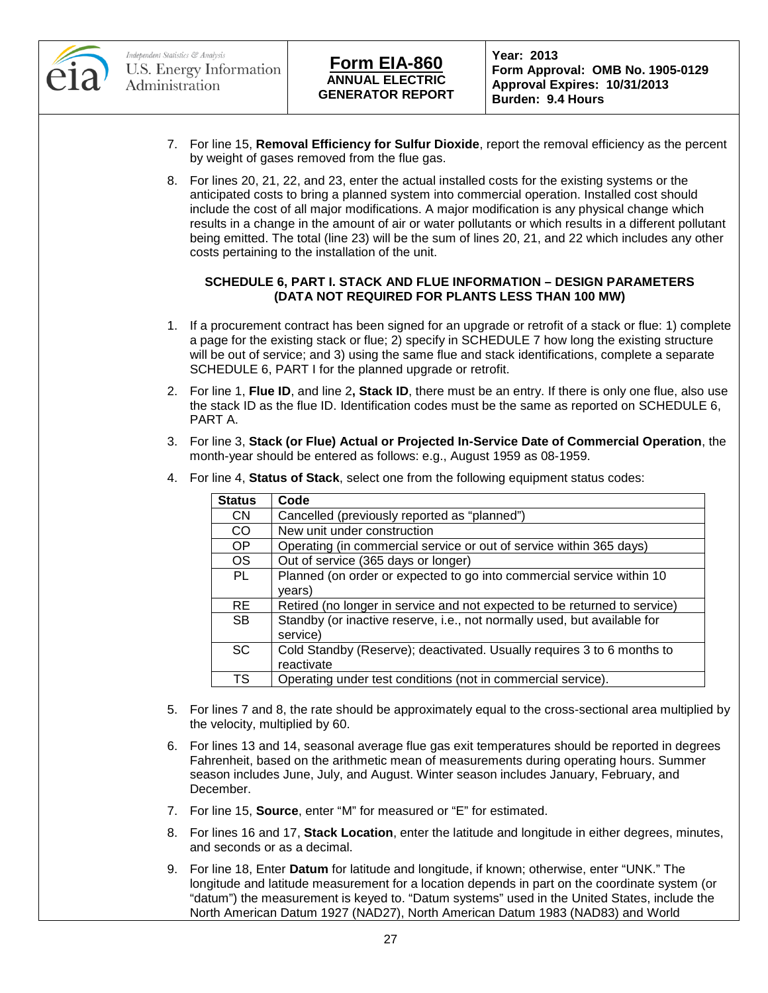

- 7. For line 15, **Removal Efficiency for Sulfur Dioxide**, report the removal efficiency as the percent by weight of gases removed from the flue gas.
- 8. For lines 20, 21, 22, and 23, enter the actual installed costs for the existing systems or the anticipated costs to bring a planned system into commercial operation. Installed cost should include the cost of all major modifications. A major modification is any physical change which results in a change in the amount of air or water pollutants or which results in a different pollutant being emitted. The total (line 23) will be the sum of lines 20, 21, and 22 which includes any other costs pertaining to the installation of the unit.

### **SCHEDULE 6, PART I. STACK AND FLUE INFORMATION – DESIGN PARAMETERS (DATA NOT REQUIRED FOR PLANTS LESS THAN 100 MW)**

- 1. If a procurement contract has been signed for an upgrade or retrofit of a stack or flue: 1) complete a page for the existing stack or flue; 2) specify in SCHEDULE 7 how long the existing structure will be out of service; and 3) using the same flue and stack identifications, complete a separate SCHEDULE 6, PART I for the planned upgrade or retrofit.
- 2. For line 1, **Flue ID**, and line 2**, Stack ID**, there must be an entry. If there is only one flue, also use the stack ID as the flue ID. Identification codes must be the same as reported on SCHEDULE 6, PART A.
- 3. For line 3, **Stack (or Flue) Actual or Projected In-Service Date of Commercial Operation**, the month-year should be entered as follows: e.g., August 1959 as 08-1959.

| <b>Status</b> | Code                                                                      |
|---------------|---------------------------------------------------------------------------|
| CN.           | Cancelled (previously reported as "planned")                              |
| CO            | New unit under construction                                               |
| OP            | Operating (in commercial service or out of service within 365 days)       |
| <b>OS</b>     | Out of service (365 days or longer)                                       |
| PL            | Planned (on order or expected to go into commercial service within 10     |
|               | years)                                                                    |
| RE.           | Retired (no longer in service and not expected to be returned to service) |
| <b>SB</b>     | Standby (or inactive reserve, i.e., not normally used, but available for  |
|               | service)                                                                  |
| <b>SC</b>     | Cold Standby (Reserve); deactivated. Usually requires 3 to 6 months to    |
|               | reactivate                                                                |
| TS            | Operating under test conditions (not in commercial service).              |

4. For line 4, **Status of Stack**, select one from the following equipment status codes:

- 5. For lines 7 and 8, the rate should be approximately equal to the cross-sectional area multiplied by the velocity, multiplied by 60.
- 6. For lines 13 and 14, seasonal average flue gas exit temperatures should be reported in degrees Fahrenheit, based on the arithmetic mean of measurements during operating hours. Summer season includes June, July, and August. Winter season includes January, February, and December.
- 7. For line 15, **Source**, enter "M" for measured or "E" for estimated.
- 8. For lines 16 and 17, **Stack Location**, enter the latitude and longitude in either degrees, minutes, and seconds or as a decimal.
- 9. For line 18, Enter **Datum** for latitude and longitude, if known; otherwise, enter "UNK." The longitude and latitude measurement for a location depends in part on the coordinate system (or "datum") the measurement is keyed to. "Datum systems" used in the United States, include the North American Datum 1927 (NAD27), North American Datum 1983 (NAD83) and World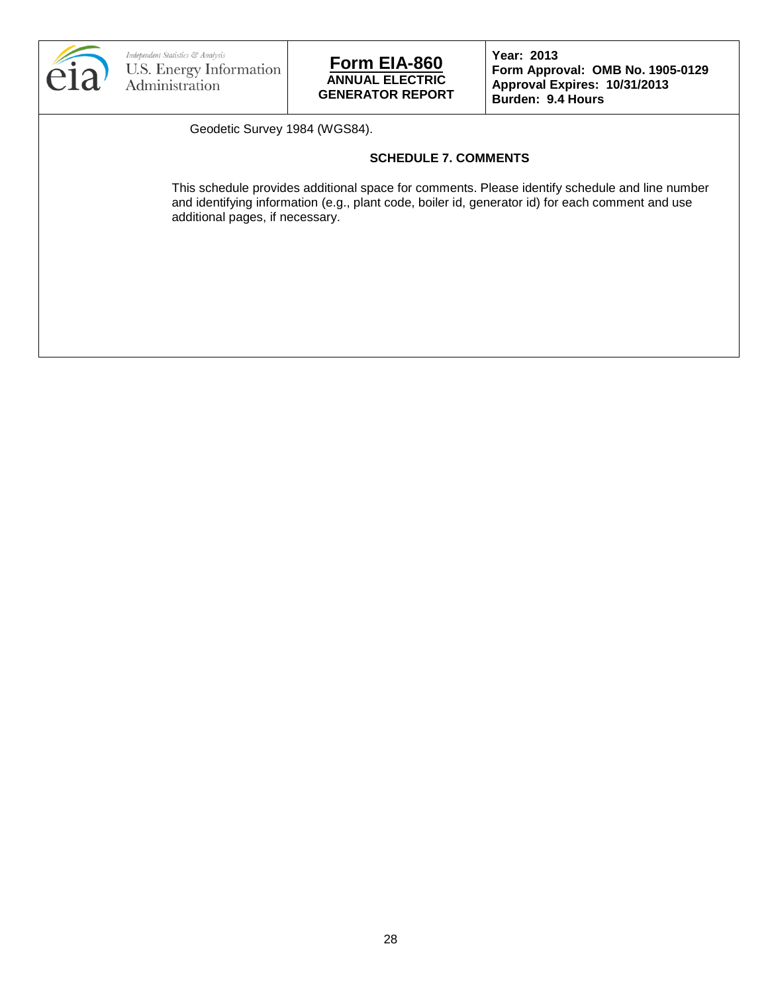



**Form Approval: OMB No. 1905-0129 Approval Expires: 10/31/2013 Burden: 9.4 Hours**

Geodetic Survey 1984 (WGS84).

### **SCHEDULE 7. COMMENTS**

This schedule provides additional space for comments. Please identify schedule and line number and identifying information (e.g., plant code, boiler id, generator id) for each comment and use additional pages, if necessary.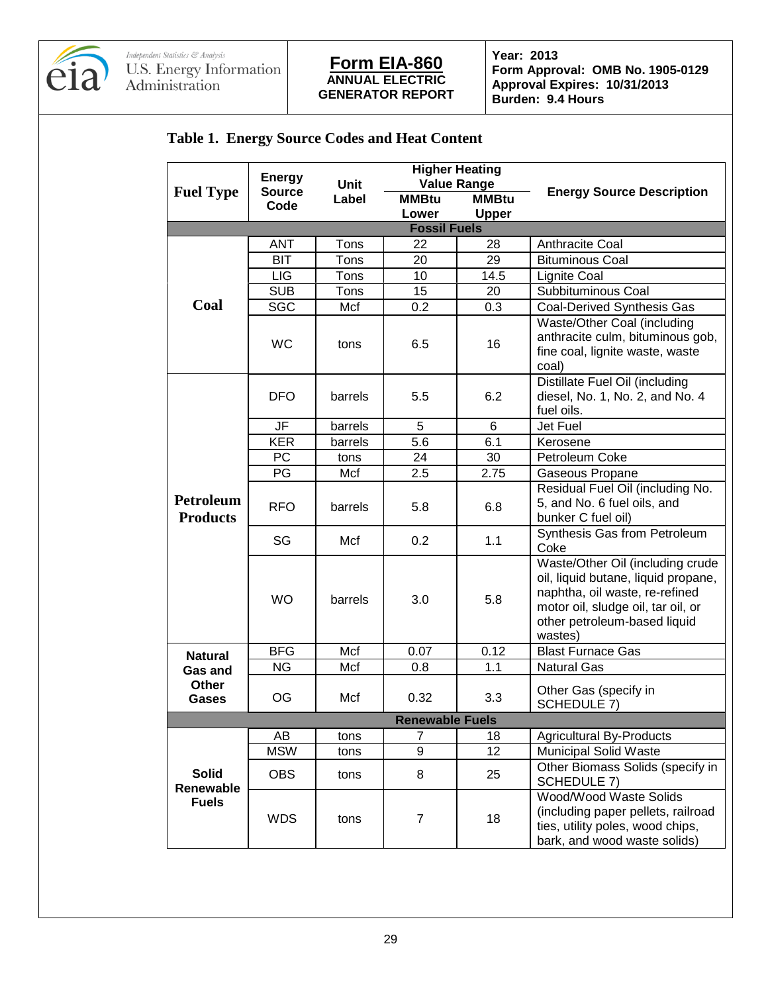

**Form Approval: OMB No. 1905-0129 Approval Expires: 10/31/2013 Burden: 9.4 Hours**

# **Table 1. Energy Source Codes and Heat Content**

|                              | <b>Energy</b>          |               | <b>Higher Heating</b>                              |              | <b>Energy Source Description</b>                                                                                                                                                           |  |  |
|------------------------------|------------------------|---------------|----------------------------------------------------|--------------|--------------------------------------------------------------------------------------------------------------------------------------------------------------------------------------------|--|--|
| <b>Fuel Type</b>             | <b>Source</b>          | Unit<br>Label | <b>Value Range</b><br><b>MMBtu</b><br><b>MMBtu</b> |              |                                                                                                                                                                                            |  |  |
|                              | Code                   |               | Lower                                              | <b>Upper</b> |                                                                                                                                                                                            |  |  |
| <b>Fossil Fuels</b>          |                        |               |                                                    |              |                                                                                                                                                                                            |  |  |
|                              | <b>ANT</b>             | Tons          | 22                                                 | 28           | Anthracite Coal                                                                                                                                                                            |  |  |
|                              | <b>BIT</b>             | Tons          | 20                                                 | 29           | <b>Bituminous Coal</b>                                                                                                                                                                     |  |  |
|                              | LIG                    | Tons          | 10                                                 | 14.5         | <b>Lignite Coal</b>                                                                                                                                                                        |  |  |
|                              | <b>SUB</b>             | Tons          | 15                                                 | 20           | Subbituminous Coal                                                                                                                                                                         |  |  |
| Coal                         | <b>SGC</b>             | Mcf           | 0.2                                                | 0.3          | Coal-Derived Synthesis Gas                                                                                                                                                                 |  |  |
|                              | <b>WC</b>              | tons          | 6.5                                                | 16           | Waste/Other Coal (including<br>anthracite culm, bituminous gob,<br>fine coal, lignite waste, waste<br>coal)                                                                                |  |  |
|                              | <b>DFO</b>             | barrels       | 5.5                                                | 6.2          | Distillate Fuel Oil (including<br>diesel, No. 1, No. 2, and No. 4<br>fuel oils.                                                                                                            |  |  |
|                              | JF                     | barrels       | 5                                                  | 6            | Jet Fuel                                                                                                                                                                                   |  |  |
|                              | <b>KER</b>             | barrels       | 5.6                                                | 6.1          | Kerosene                                                                                                                                                                                   |  |  |
|                              | <b>PC</b>              | tons          | 24                                                 | 30           | Petroleum Coke                                                                                                                                                                             |  |  |
|                              | PG                     | Mcf           | 2.5                                                | 2.75         | Gaseous Propane                                                                                                                                                                            |  |  |
| Petroleum<br><b>Products</b> | <b>RFO</b>             | barrels       | 5.8                                                | 6.8          | Residual Fuel Oil (including No.<br>5, and No. 6 fuel oils, and<br>bunker C fuel oil)                                                                                                      |  |  |
|                              | SG                     | Mcf           | 0.2                                                | 1.1          | Synthesis Gas from Petroleum<br>Coke                                                                                                                                                       |  |  |
|                              | <b>WO</b>              | barrels       | 3.0                                                | 5.8          | Waste/Other Oil (including crude<br>oil, liquid butane, liquid propane,<br>naphtha, oil waste, re-refined<br>motor oil, sludge oil, tar oil, or<br>other petroleum-based liquid<br>wastes) |  |  |
| <b>Natural</b>               | <b>BFG</b>             | Mcf           | 0.07                                               | 0.12         | <b>Blast Furnace Gas</b>                                                                                                                                                                   |  |  |
| <b>Gas and</b>               | <b>NG</b>              | Mcf           | 0.8                                                | 1.1          | <b>Natural Gas</b>                                                                                                                                                                         |  |  |
| Other<br>Gases               | OG                     | Mcf           | 0.32                                               | 3.3          | Other Gas (specify in<br>SCHEDULE 7)                                                                                                                                                       |  |  |
|                              | <b>Renewable Fuels</b> |               |                                                    |              |                                                                                                                                                                                            |  |  |
|                              | AB                     | tons          | 7                                                  | 18           | <b>Agricultural By-Products</b>                                                                                                                                                            |  |  |
|                              | <b>MSW</b>             | tons          | 9                                                  | 12           | <b>Municipal Solid Waste</b>                                                                                                                                                               |  |  |
| <b>Solid</b><br>Renewable    | <b>OBS</b>             | tons          | 8                                                  | 25           | Other Biomass Solids (specify in<br>SCHEDULE 7)                                                                                                                                            |  |  |
| <b>Fuels</b>                 | <b>WDS</b>             | tons          | $\overline{7}$                                     | 18           | Wood/Wood Waste Solids<br>(including paper pellets, railroad<br>ties, utility poles, wood chips,<br>bark, and wood waste solids)                                                           |  |  |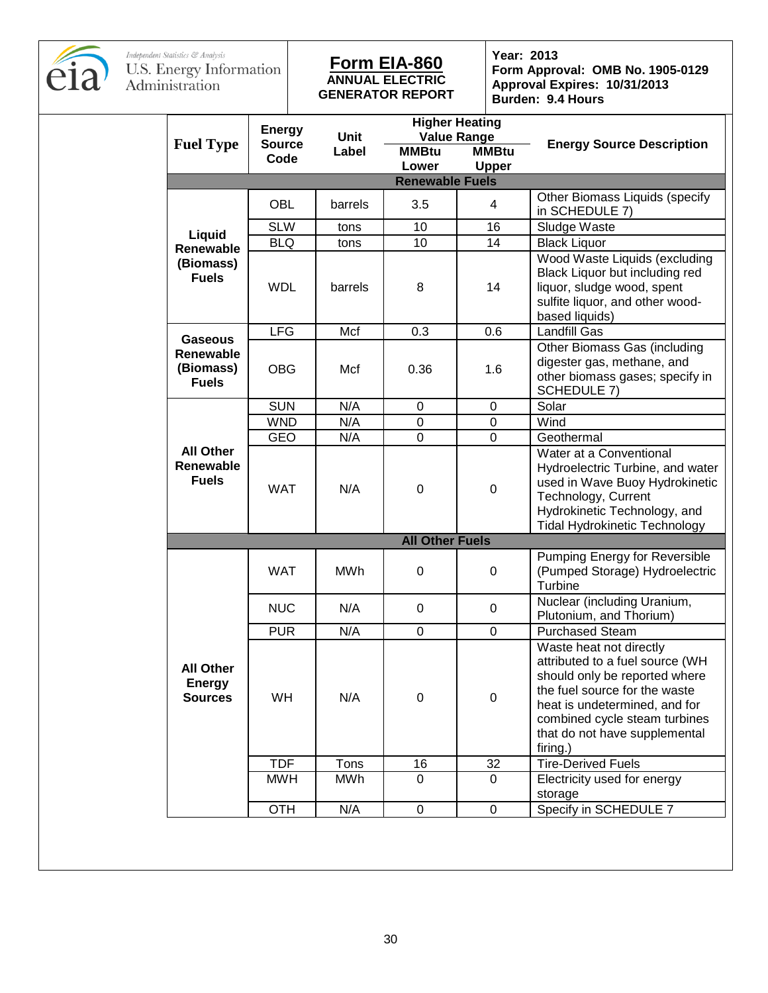

### **ANNUAL ELECTRIC GENERATOR REPORT Form EIA-860 Year: 2013**

**Form Approval: OMB No. 1905-0129 Approval Expires: 10/31/2013 Burden: 9.4 Hours**

|  |                                                      | <b>Energy</b> | <b>Higher Heating</b><br><b>Value Range</b> |                        |              |                                                                                                                                                                                                                                             |
|--|------------------------------------------------------|---------------|---------------------------------------------|------------------------|--------------|---------------------------------------------------------------------------------------------------------------------------------------------------------------------------------------------------------------------------------------------|
|  | <b>Fuel Type</b>                                     | <b>Source</b> | Unit<br>Label                               | <b>MMBtu</b>           | <b>MMBtu</b> | <b>Energy Source Description</b>                                                                                                                                                                                                            |
|  |                                                      | Code          |                                             | Lower                  | <b>Upper</b> |                                                                                                                                                                                                                                             |
|  | <b>Renewable Fuels</b>                               |               |                                             |                        |              |                                                                                                                                                                                                                                             |
|  |                                                      | <b>OBL</b>    | barrels                                     | 3.5                    | 4            | Other Biomass Liquids (specify<br>in SCHEDULE 7)                                                                                                                                                                                            |
|  | Liquid                                               | <b>SLW</b>    | tons                                        | 10                     | 16           | Sludge Waste                                                                                                                                                                                                                                |
|  | Renewable                                            | <b>BLQ</b>    | tons                                        | 10                     | 14           | <b>Black Liquor</b>                                                                                                                                                                                                                         |
|  | (Biomass)<br><b>Fuels</b>                            | <b>WDL</b>    | barrels                                     | 8                      | 14           | Wood Waste Liquids (excluding<br>Black Liquor but including red<br>liquor, sludge wood, spent<br>sulfite liquor, and other wood-<br>based liquids)                                                                                          |
|  | <b>Gaseous</b>                                       | <b>LFG</b>    | Mcf                                         | 0.3                    | 0.6          | <b>Landfill Gas</b>                                                                                                                                                                                                                         |
|  | <b>Renewable</b><br>(Biomass)<br><b>Fuels</b>        | <b>OBG</b>    | Mcf                                         | 0.36                   | 1.6          | Other Biomass Gas (including<br>digester gas, methane, and<br>other biomass gases; specify in<br>SCHEDULE 7)                                                                                                                                |
|  |                                                      | <b>SUN</b>    | N/A                                         | $\mathbf 0$            | $\mathbf 0$  | Solar                                                                                                                                                                                                                                       |
|  |                                                      | <b>WND</b>    | N/A                                         | $\mathbf 0$            | $\pmb{0}$    | Wind                                                                                                                                                                                                                                        |
|  |                                                      | <b>GEO</b>    | N/A                                         | $\mathbf 0$            | $\mathbf 0$  | Geothermal                                                                                                                                                                                                                                  |
|  | <b>All Other</b><br><b>Renewable</b><br><b>Fuels</b> | <b>WAT</b>    | N/A                                         | $\boldsymbol{0}$       | $\pmb{0}$    | Water at a Conventional<br>Hydroelectric Turbine, and water<br>used in Wave Buoy Hydrokinetic<br>Technology, Current<br>Hydrokinetic Technology, and<br><b>Tidal Hydrokinetic Technology</b>                                                |
|  |                                                      |               |                                             | <b>All Other Fuels</b> |              |                                                                                                                                                                                                                                             |
|  |                                                      | WAT           | MWh                                         | $\boldsymbol{0}$       | $\mathbf 0$  | Pumping Energy for Reversible<br>(Pumped Storage) Hydroelectric<br>Turbine                                                                                                                                                                  |
|  |                                                      | <b>NUC</b>    | N/A                                         | $\mathbf 0$            | $\mathbf 0$  | Nuclear (including Uranium,<br>Plutonium, and Thorium)                                                                                                                                                                                      |
|  |                                                      | <b>PUR</b>    | N/A                                         | $\mathbf 0$            | $\mathbf 0$  | <b>Purchased Steam</b>                                                                                                                                                                                                                      |
|  | <b>All Other</b><br><b>Energy</b><br><b>Sources</b>  | WH            | N/A                                         | $\mathbf 0$            | $\pmb{0}$    | Waste heat not directly<br>attributed to a fuel source (WH<br>should only be reported where<br>the fuel source for the waste<br>heat is undetermined, and for<br>combined cycle steam turbines<br>that do not have supplemental<br>firing.) |
|  |                                                      | <b>TDF</b>    | Tons                                        | 16                     | 32           | <b>Tire-Derived Fuels</b>                                                                                                                                                                                                                   |
|  |                                                      | <b>MWH</b>    | <b>MWh</b>                                  | $\Omega$               | $\mathbf 0$  | Electricity used for energy<br>storage                                                                                                                                                                                                      |
|  |                                                      | <b>OTH</b>    | N/A                                         | $\pmb{0}$              | $\mathsf 0$  | Specify in SCHEDULE 7                                                                                                                                                                                                                       |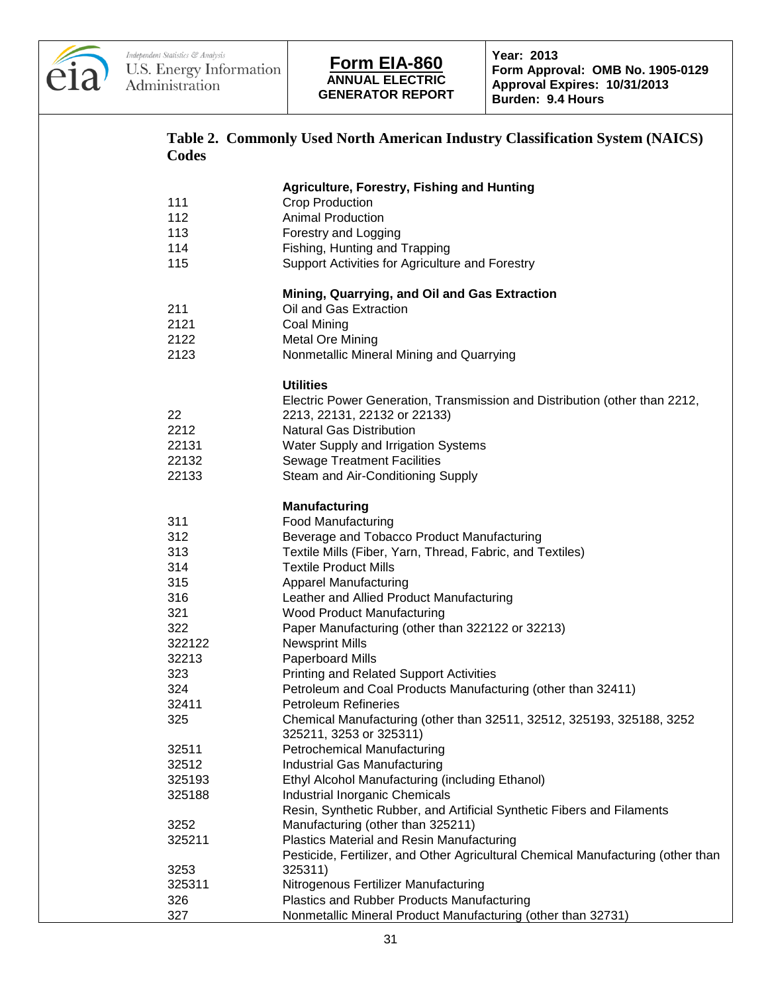

| Codes  | Table 2. Commonly Used North American Industry Classification System (NAICS)                                |
|--------|-------------------------------------------------------------------------------------------------------------|
|        | <b>Agriculture, Forestry, Fishing and Hunting</b>                                                           |
| 111    | <b>Crop Production</b>                                                                                      |
| 112    | <b>Animal Production</b>                                                                                    |
| 113    | Forestry and Logging                                                                                        |
| 114    | Fishing, Hunting and Trapping                                                                               |
| 115    | Support Activities for Agriculture and Forestry                                                             |
|        | Mining, Quarrying, and Oil and Gas Extraction                                                               |
| 211    | Oil and Gas Extraction                                                                                      |
| 2121   | Coal Mining                                                                                                 |
| 2122   | <b>Metal Ore Mining</b>                                                                                     |
| 2123   | Nonmetallic Mineral Mining and Quarrying                                                                    |
|        | <b>Utilities</b>                                                                                            |
|        | Electric Power Generation, Transmission and Distribution (other than 2212,                                  |
| 22     | 2213, 22131, 22132 or 22133)                                                                                |
| 2212   | <b>Natural Gas Distribution</b>                                                                             |
| 22131  | Water Supply and Irrigation Systems                                                                         |
| 22132  | <b>Sewage Treatment Facilities</b>                                                                          |
| 22133  | Steam and Air-Conditioning Supply                                                                           |
|        | Manufacturing                                                                                               |
| 311    | <b>Food Manufacturing</b>                                                                                   |
| 312    | Beverage and Tobacco Product Manufacturing                                                                  |
| 313    | Textile Mills (Fiber, Yarn, Thread, Fabric, and Textiles)                                                   |
| 314    | <b>Textile Product Mills</b>                                                                                |
| 315    | <b>Apparel Manufacturing</b>                                                                                |
| 316    | Leather and Allied Product Manufacturing                                                                    |
| 321    | Wood Product Manufacturing                                                                                  |
| 322    | Paper Manufacturing (other than 322122 or 32213)                                                            |
| 322122 | <b>Newsprint Mills</b>                                                                                      |
| 32213  | Paperboard Mills                                                                                            |
| 323    | <b>Printing and Related Support Activities</b>                                                              |
| 324    | Petroleum and Coal Products Manufacturing (other than 32411)                                                |
| 32411  | <b>Petroleum Refineries</b>                                                                                 |
| 325    | Chemical Manufacturing (other than 32511, 32512, 325193, 325188, 3252                                       |
| 32511  | 325211, 3253 or 325311)<br><b>Petrochemical Manufacturing</b>                                               |
| 32512  |                                                                                                             |
| 325193 | Industrial Gas Manufacturing                                                                                |
| 325188 | Ethyl Alcohol Manufacturing (including Ethanol)<br><b>Industrial Inorganic Chemicals</b>                    |
|        |                                                                                                             |
| 3252   | Resin, Synthetic Rubber, and Artificial Synthetic Fibers and Filaments<br>Manufacturing (other than 325211) |
| 325211 | <b>Plastics Material and Resin Manufacturing</b>                                                            |
|        | Pesticide, Fertilizer, and Other Agricultural Chemical Manufacturing (other than                            |
| 3253   | 325311)                                                                                                     |
| 325311 | Nitrogenous Fertilizer Manufacturing                                                                        |
| 326    | <b>Plastics and Rubber Products Manufacturing</b>                                                           |
| 327    | Nonmetallic Mineral Product Manufacturing (other than 32731)                                                |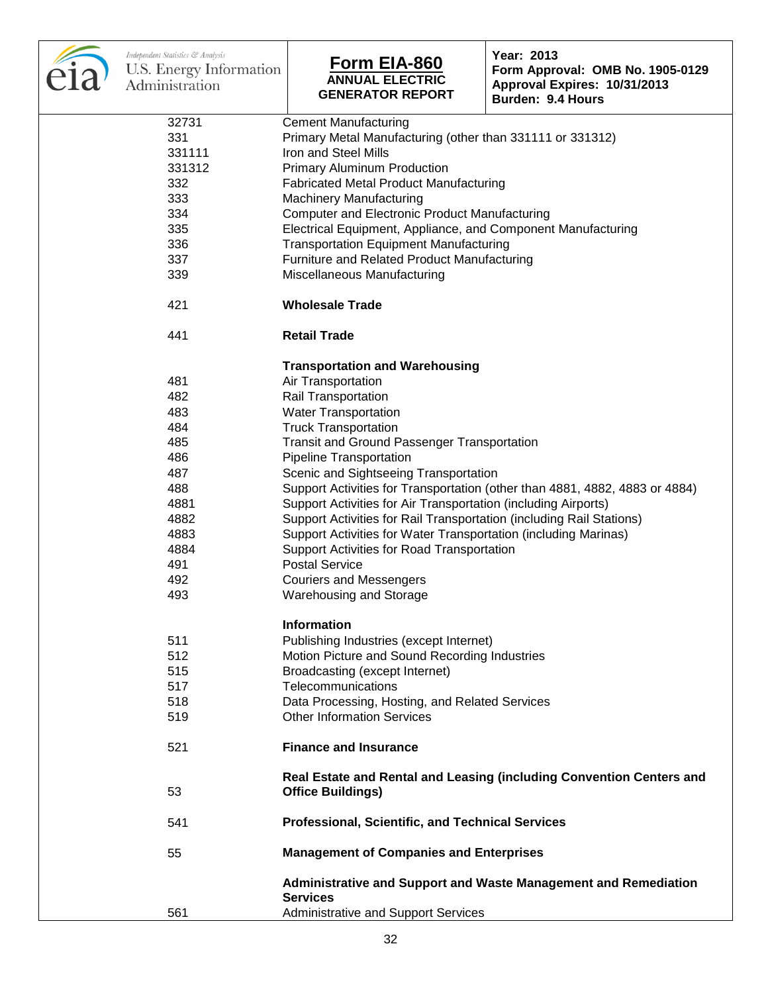| Independent Statistics & Analysis<br>U.S. Energy Information<br>Administration | Form EIA-860<br><b>ANNUAL ELECTRIC</b><br><b>GENERATOR REPORT</b>                                                                                           | Year: 2013<br>Form Approval: OMB No. 1905-0129<br>Approval Expires: 10/31/2013<br>Burden: 9.4 Hours |  |  |
|--------------------------------------------------------------------------------|-------------------------------------------------------------------------------------------------------------------------------------------------------------|-----------------------------------------------------------------------------------------------------|--|--|
| 32731                                                                          | <b>Cement Manufacturing</b>                                                                                                                                 |                                                                                                     |  |  |
| 331                                                                            | Primary Metal Manufacturing (other than 331111 or 331312)                                                                                                   |                                                                                                     |  |  |
| 331111                                                                         | Iron and Steel Mills                                                                                                                                        |                                                                                                     |  |  |
| 331312                                                                         | <b>Primary Aluminum Production</b>                                                                                                                          |                                                                                                     |  |  |
| 332                                                                            | <b>Fabricated Metal Product Manufacturing</b>                                                                                                               |                                                                                                     |  |  |
| 333                                                                            | <b>Machinery Manufacturing</b>                                                                                                                              |                                                                                                     |  |  |
| 334                                                                            | <b>Computer and Electronic Product Manufacturing</b>                                                                                                        |                                                                                                     |  |  |
| 335                                                                            | Electrical Equipment, Appliance, and Component Manufacturing                                                                                                |                                                                                                     |  |  |
| 336                                                                            | <b>Transportation Equipment Manufacturing</b>                                                                                                               |                                                                                                     |  |  |
| 337                                                                            | Furniture and Related Product Manufacturing                                                                                                                 |                                                                                                     |  |  |
| 339                                                                            | Miscellaneous Manufacturing                                                                                                                                 |                                                                                                     |  |  |
| 421                                                                            | <b>Wholesale Trade</b>                                                                                                                                      |                                                                                                     |  |  |
| 441                                                                            | <b>Retail Trade</b>                                                                                                                                         |                                                                                                     |  |  |
|                                                                                |                                                                                                                                                             |                                                                                                     |  |  |
|                                                                                | <b>Transportation and Warehousing</b>                                                                                                                       |                                                                                                     |  |  |
| 481                                                                            | Air Transportation                                                                                                                                          |                                                                                                     |  |  |
| 482                                                                            | Rail Transportation                                                                                                                                         |                                                                                                     |  |  |
| 483                                                                            | <b>Water Transportation</b>                                                                                                                                 |                                                                                                     |  |  |
| 484                                                                            | <b>Truck Transportation</b>                                                                                                                                 |                                                                                                     |  |  |
| 485                                                                            | <b>Transit and Ground Passenger Transportation</b>                                                                                                          |                                                                                                     |  |  |
| 486                                                                            | <b>Pipeline Transportation</b>                                                                                                                              |                                                                                                     |  |  |
| 487                                                                            | Scenic and Sightseeing Transportation                                                                                                                       |                                                                                                     |  |  |
| 488                                                                            | Support Activities for Transportation (other than 4881, 4882, 4883 or 4884)<br>Support Activities for Air Transportation (including Airports)               |                                                                                                     |  |  |
| 4881                                                                           |                                                                                                                                                             |                                                                                                     |  |  |
| 4882                                                                           | Support Activities for Rail Transportation (including Rail Stations)                                                                                        |                                                                                                     |  |  |
| 4883                                                                           | Support Activities for Water Transportation (including Marinas)                                                                                             |                                                                                                     |  |  |
| 4884                                                                           | Support Activities for Road Transportation                                                                                                                  |                                                                                                     |  |  |
| 491                                                                            | <b>Postal Service</b>                                                                                                                                       |                                                                                                     |  |  |
| 492                                                                            | <b>Couriers and Messengers</b>                                                                                                                              |                                                                                                     |  |  |
| 493                                                                            | Warehousing and Storage                                                                                                                                     |                                                                                                     |  |  |
|                                                                                | <b>Information</b>                                                                                                                                          |                                                                                                     |  |  |
| 511                                                                            | Publishing Industries (except Internet)                                                                                                                     |                                                                                                     |  |  |
| 512                                                                            | Motion Picture and Sound Recording Industries                                                                                                               |                                                                                                     |  |  |
| 515                                                                            | Broadcasting (except Internet)                                                                                                                              |                                                                                                     |  |  |
| 517                                                                            | Telecommunications                                                                                                                                          |                                                                                                     |  |  |
| 518                                                                            | Data Processing, Hosting, and Related Services                                                                                                              |                                                                                                     |  |  |
| 519                                                                            | <b>Other Information Services</b>                                                                                                                           |                                                                                                     |  |  |
|                                                                                |                                                                                                                                                             |                                                                                                     |  |  |
| <b>Finance and Insurance</b><br>521                                            |                                                                                                                                                             |                                                                                                     |  |  |
| 53                                                                             | Real Estate and Rental and Leasing (including Convention Centers and<br><b>Office Buildings)</b><br><b>Professional, Scientific, and Technical Services</b> |                                                                                                     |  |  |
| 541                                                                            |                                                                                                                                                             |                                                                                                     |  |  |
| 55                                                                             | <b>Management of Companies and Enterprises</b>                                                                                                              |                                                                                                     |  |  |
|                                                                                | <b>Services</b>                                                                                                                                             | <b>Administrative and Support and Waste Management and Remediation</b>                              |  |  |
| 561                                                                            | <b>Administrative and Support Services</b>                                                                                                                  |                                                                                                     |  |  |